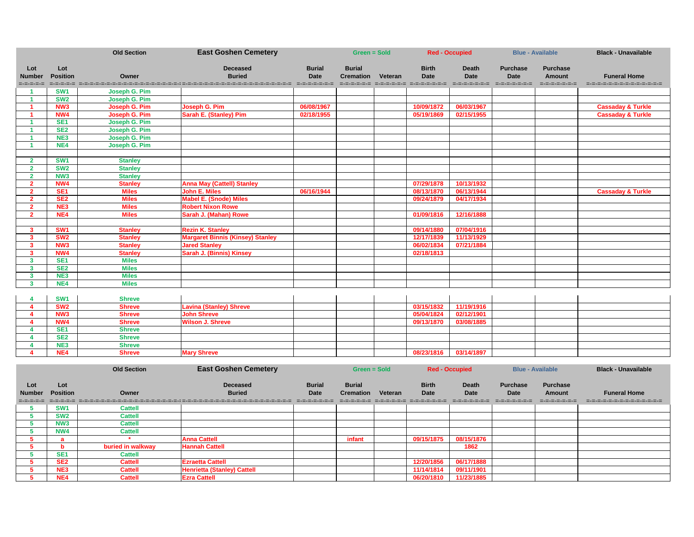|                                   |                        | <b>Old Section</b>   | <b>East Goshen Cemetery</b>             |                              | <b>Green = Sold</b>               |         |                             | <b>Red - Occupied</b>       |                                | <b>Blue - Available</b>                         | <b>Black - Unavailable</b>                    |
|-----------------------------------|------------------------|----------------------|-----------------------------------------|------------------------------|-----------------------------------|---------|-----------------------------|-----------------------------|--------------------------------|-------------------------------------------------|-----------------------------------------------|
| Lot<br><b>Number</b><br>=-=-=-=-= | Lot<br><b>Position</b> | Owner                | <b>Deceased</b><br><b>Buried</b>        | <b>Burial</b><br><b>Date</b> | <b>Burial</b><br><b>Cremation</b> | Veteran | <b>Birth</b><br><b>Date</b> | <b>Death</b><br><b>Date</b> | <b>Purchase</b><br><b>Date</b> | <b>Purchase</b><br><b>Amount</b><br>----------- | <b>Funeral Home</b><br>---------------------- |
|                                   | SW <sub>1</sub>        | Joseph G. Pim        |                                         |                              |                                   |         |                             |                             |                                |                                                 |                                               |
|                                   | <b>SW2</b>             | <b>Joseph G. Pim</b> |                                         |                              |                                   |         |                             |                             |                                |                                                 |                                               |
|                                   | NW <sub>3</sub>        | <b>Joseph G. Pim</b> | Joseph G. Pim                           | 06/08/1967                   |                                   |         | 10/09/1872                  | 06/03/1967                  |                                |                                                 | <b>Cassaday &amp; Turkle</b>                  |
|                                   | NW4                    | <b>Joseph G. Pim</b> | <b>Sarah E. (Stanley) Pim</b>           | 02/18/1955                   |                                   |         | 05/19/1869                  | 02/15/1955                  |                                |                                                 | <b>Cassaday &amp; Turkle</b>                  |
|                                   | SE <sub>1</sub>        | Joseph G. Pim        |                                         |                              |                                   |         |                             |                             |                                |                                                 |                                               |
|                                   | SE <sub>2</sub>        | Joseph G. Pim        |                                         |                              |                                   |         |                             |                             |                                |                                                 |                                               |
|                                   | NE3                    | Joseph G. Pim        |                                         |                              |                                   |         |                             |                             |                                |                                                 |                                               |
|                                   | NE4                    | Joseph G. Pim        |                                         |                              |                                   |         |                             |                             |                                |                                                 |                                               |
|                                   |                        |                      |                                         |                              |                                   |         |                             |                             |                                |                                                 |                                               |
| $\overline{2}$                    | SW <sub>1</sub>        | <b>Stanley</b>       |                                         |                              |                                   |         |                             |                             |                                |                                                 |                                               |
| $\overline{2}$                    | SW <sub>2</sub>        | <b>Stanley</b>       |                                         |                              |                                   |         |                             |                             |                                |                                                 |                                               |
| $\overline{\mathbf{2}}$           | NW <sub>3</sub>        | <b>Stanley</b>       |                                         |                              |                                   |         |                             |                             |                                |                                                 |                                               |
| $\mathbf{z}$                      | NW4                    | <b>Stanley</b>       | <b>Anna May (Cattell) Stanley</b>       |                              |                                   |         | 07/29/1878                  | 10/13/1932                  |                                |                                                 |                                               |
| $\overline{\mathbf{2}}$           | <b>SE1</b>             | <b>Miles</b>         | <b>John E. Miles</b>                    | 06/16/1944                   |                                   |         | 08/13/1870                  | 06/13/1944                  |                                |                                                 | <b>Cassaday &amp; Turkle</b>                  |
| $\overline{2}$                    | SE <sub>2</sub>        | <b>Miles</b>         | <b>Mabel E. (Snode) Miles</b>           |                              |                                   |         | 09/24/1879                  | 04/17/1934                  |                                |                                                 |                                               |
| $\overline{\mathbf{2}}$           | NE <sub>3</sub>        | <b>Miles</b>         | <b>Robert Nixon Rowe</b>                |                              |                                   |         |                             |                             |                                |                                                 |                                               |
| $\overline{\mathbf{2}}$           | NE4                    | <b>Miles</b>         | Sarah J. (Mahan) Rowe                   |                              |                                   |         | 01/09/1816                  | 12/16/1888                  |                                |                                                 |                                               |
|                                   |                        |                      |                                         |                              |                                   |         |                             |                             |                                |                                                 |                                               |
| $\mathbf{3}$                      | SW <sub>1</sub>        | <b>Stanley</b>       | <b>Rezin K. Stanley</b>                 |                              |                                   |         | 09/14/1880                  | 07/04/1916                  |                                |                                                 |                                               |
| $\overline{\mathbf{3}}$           | SW <sub>2</sub>        | <b>Stanley</b>       | <b>Margaret Binnis (Kinsey) Stanley</b> |                              |                                   |         | 12/17/1839                  | 11/13/1929                  |                                |                                                 |                                               |
| 3                                 | NW <sub>3</sub>        | <b>Stanley</b>       | <b>Jared Stanley</b>                    |                              |                                   |         | 06/02/1834                  | 07/21/1884                  |                                |                                                 |                                               |
| $\mathbf{3}$                      | NW4                    | <b>Stanley</b>       | Sarah J. (Binnis) Kinsey                |                              |                                   |         | 02/18/1813                  |                             |                                |                                                 |                                               |
| $\mathbf{3}$                      | SE <sub>1</sub>        | <b>Miles</b>         |                                         |                              |                                   |         |                             |                             |                                |                                                 |                                               |
| $\overline{\mathbf{3}}$           | SE <sub>2</sub>        | <b>Miles</b>         |                                         |                              |                                   |         |                             |                             |                                |                                                 |                                               |
| 3                                 | NE <sub>3</sub>        | <b>Miles</b>         |                                         |                              |                                   |         |                             |                             |                                |                                                 |                                               |
| $\mathbf{3}$                      | NE4                    | <b>Miles</b>         |                                         |                              |                                   |         |                             |                             |                                |                                                 |                                               |
| 4                                 | <b>SW1</b>             | <b>Shreve</b>        |                                         |                              |                                   |         |                             |                             |                                |                                                 |                                               |

| SW <sub>1</sub> | Shreve        |                                |  |            |            |  |  |
|-----------------|---------------|--------------------------------|--|------------|------------|--|--|
| SW <sub>2</sub> | <b>Shreve</b> | <b>Lavina (Stanley) Shreve</b> |  | 03/15/1832 | 11/19/1916 |  |  |
| NW <sub>3</sub> | <b>Shreve</b> | <b>John Shreve</b>             |  | 05/04/1824 | 02/12/1901 |  |  |
| NW4             | <b>Shreve</b> | <b>Wilson J. Shreve</b>        |  | 09/13/1870 | 03/08/1885 |  |  |
| SE <sub>1</sub> | <b>Shreve</b> |                                |  |            |            |  |  |
| SE <sub>2</sub> | Shreve        |                                |  |            |            |  |  |
| NE3             | Shreve        |                                |  |            |            |  |  |
| NE4             | Shreve        | <b>Mary Shreve</b>             |  | 08/23/1816 | 03/14/1897 |  |  |

|                      |                        | <b>Old Section</b> | <b>East Goshen Cemetery</b>        |                       | Green = Sold                      |         |                      | <b>Red - Occupied</b> |                         | <b>Blue - Available</b>   | <b>Black - Unavailable</b> |
|----------------------|------------------------|--------------------|------------------------------------|-----------------------|-----------------------------------|---------|----------------------|-----------------------|-------------------------|---------------------------|----------------------------|
| Lot<br><b>Number</b> | Lot<br><b>Position</b> | Owner              | <b>Deceased</b><br><b>Buried</b>   | <b>Burial</b><br>Date | <b>Burial</b><br><b>Cremation</b> | Veteran | <b>Birth</b><br>Date | <b>Death</b><br>Date  | <b>Purchase</b><br>Date | <b>Purchase</b><br>Amount | <b>Funeral Home</b>        |
| =-=-=-=-=-           | <b>SW1</b>             | <b>Cattell</b>     |                                    | -----------           |                                   |         |                      | ------------          | -----------             | =-=-=-=-=-=-=             | =-=-=-=-=-=-=-=-=-=-=-=-=  |
|                      | SW <sub>2</sub>        | <b>Cattell</b>     |                                    |                       |                                   |         |                      |                       |                         |                           |                            |
|                      | NW <sub>3</sub>        | <b>Cattell</b>     |                                    |                       |                                   |         |                      |                       |                         |                           |                            |
|                      | NW4                    | <b>Cattell</b>     |                                    |                       |                                   |         |                      |                       |                         |                           |                            |
|                      | я                      |                    | <b>Anna Cattell</b>                |                       | infant                            |         | 09/15/1875           | 08/15/1876            |                         |                           |                            |
|                      | n                      | buried in walkway  | <b>Hannah Cattell</b>              |                       |                                   |         |                      | 1862                  |                         |                           |                            |
|                      | SE <sub>1</sub>        | <b>Cattell</b>     |                                    |                       |                                   |         |                      |                       |                         |                           |                            |
|                      | SE <sub>2</sub>        | <b>Cattell</b>     | <b>Ezraetta Cattell</b>            |                       |                                   |         | 12/20/1856           | 06/17/1888            |                         |                           |                            |
|                      | NE3                    | <b>Cattell</b>     | <b>Henrietta (Stanley) Cattell</b> |                       |                                   |         | 11/14/1814           | 09/11/1901            |                         |                           |                            |
|                      | NE4                    | <b>Cattell</b>     | <b>Ezra Cattell</b>                |                       |                                   |         | 06/20/1810           | 11/23/1885            |                         |                           |                            |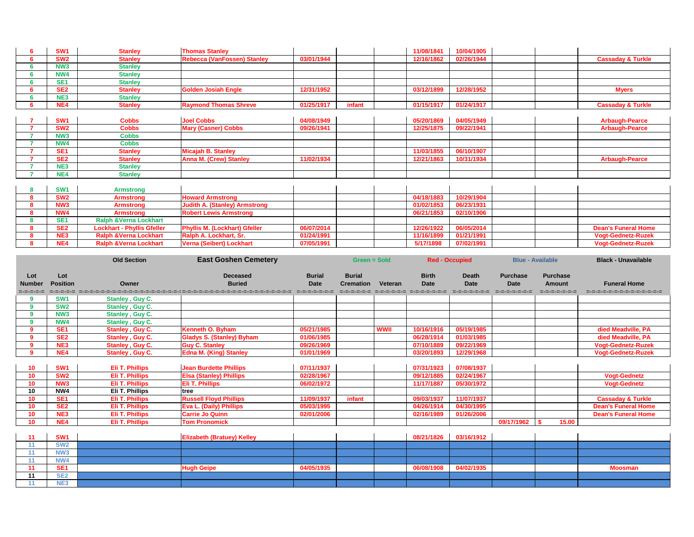| SW <sub>1</sub> | <b>Stanley</b> | <b>Thomas Stanley</b>              |            |        | 11/08/1841 | 10/04/1905 |  |                              |
|-----------------|----------------|------------------------------------|------------|--------|------------|------------|--|------------------------------|
| SW <sub>2</sub> | <b>Stanley</b> | <b>Rebecca (VanFossen) Stanley</b> | 03/01/1944 |        | 12/16/1862 | 02/26/1944 |  | <b>Cassaday &amp; Turkle</b> |
| NW <sub>3</sub> | <b>Stanley</b> |                                    |            |        |            |            |  |                              |
| NW4             | <b>Stanley</b> |                                    |            |        |            |            |  |                              |
| SE1             | <b>Stanley</b> |                                    |            |        |            |            |  |                              |
| SE <sub>2</sub> | <b>Stanley</b> | <b>Golden Josiah Engle</b>         | 12/31/1952 |        | 03/12/1899 | 12/28/1952 |  | <b>Myers</b>                 |
| NE3             | <b>Stanley</b> |                                    |            |        |            |            |  |                              |
| NE <sub>4</sub> | <b>Stanley</b> | <b>Raymond Thomas Shreve</b>       | 01/25/1917 | infant | 01/15/1917 | 01/24/1917 |  | <b>Cassaday &amp; Turkle</b> |

| SW <sub>1</sub> | <b>Cobbs</b>     | <b>Joel Cobbs</b>             | 04/08/1949 | 05/20/1869 | 04/05/1949 | <b>Arbaugh-Pearce</b> |
|-----------------|------------------|-------------------------------|------------|------------|------------|-----------------------|
| SW <sub>2</sub> | <b>Cobbs</b>     | <b>Mary (Casner) Cobbs</b>    | 09/26/1941 | 12/25/1875 | 09/22/1941 | <b>Arbaugh-Pearce</b> |
| NW <sub>3</sub> | <b>Cobbs</b>     |                               |            |            |            |                       |
| <b>NW4</b>      | <b>Cobbs</b>     |                               |            |            |            |                       |
| SE <sub>1</sub> | <b>Stanley</b>   | <b>Micajah B. Stanley</b>     |            | 11/03/1855 | 06/10/1907 |                       |
| SE <sub>2</sub> | <b>Stanley</b>   | <b>Anna M. (Crew) Stanley</b> | 11/02/1934 | 12/21/1863 | 10/31/1934 | <b>Arbaugh-Pearce</b> |
| <b>NE3</b>      | <b>Stanley</b>   |                               |            |            |            |                       |
| NE4             | <b>Stanley</b>   |                               |            |            |            |                       |
|                 |                  |                               |            |            |            |                       |
| <b>SW1</b>      | <b>Armstrong</b> |                               |            |            |            |                       |
| SW <sub>2</sub> | <b>Armstrong</b> | <b>Howard Armstrong</b>       |            | 04/18/1883 | 10/29/1904 |                       |
| <b>NIM2</b>     | Armetronal       | Judith A (Stanloy) Armetrona  |            | 04/02/1853 | 06/22/1021 |                       |

| SW <sub>1</sub> | <b>Armstrong</b>                  |                                      |            |  |            |            |  |                            |
|-----------------|-----------------------------------|--------------------------------------|------------|--|------------|------------|--|----------------------------|
| SW <sub>2</sub> | <b>Armstrong</b>                  | <b>Howard Armstrong</b>              |            |  | 04/18/1883 | 10/29/1904 |  |                            |
| NW <sub>3</sub> | <b>Armstrong</b>                  | <b>Judith A. (Stanley) Armstrong</b> |            |  | 01/02/1853 | 06/23/1931 |  |                            |
| NW4             | <b>Armstrong</b>                  | <b>Robert Lewis Armstrong</b>        |            |  | 06/21/1853 | 02/10/1906 |  |                            |
| SE <sub>1</sub> | <b>Ralph &amp;Verna Lockhart</b>  |                                      |            |  |            |            |  |                            |
| SE <sub>2</sub> | <b>Lockhart - Phyllis Gfeller</b> | <b>Phyllis M. (Lockhart) Gfeller</b> | 06/07/2014 |  | 12/26/1922 | 06/05/2014 |  | <b>Dean's Funeral Home</b> |
| NE <sub>3</sub> | <b>Ralph &amp;Verna Lockhart</b>  | Ralph A. Lockhart, Sr.               | 01/24/1991 |  | 11/16/1899 | 01/21/1991 |  | <b>Vogt-Gednetz-Ruzek</b>  |
| NE4             | <b>Ralph &amp;Verna Lockhart</b>  | Verna (Seibert) Lockhart             | 07/05/1991 |  | 5/17/1898  | 07/02/1991 |  | <b>Vogt-Gednetz-Ruzek</b>  |
|                 |                                   |                                      |            |  |            |            |  |                            |

|                                   |                        | <b>Old Section</b>     | <b>East Goshen Cemetery</b>                                                                                                                       |                              | <b>Green = Sold</b>               |             |                             | <b>Red - Occupied</b>       |                                                | <b>Blue - Available</b>                           | <b>Black - Unavailable</b>                         |
|-----------------------------------|------------------------|------------------------|---------------------------------------------------------------------------------------------------------------------------------------------------|------------------------------|-----------------------------------|-------------|-----------------------------|-----------------------------|------------------------------------------------|---------------------------------------------------|----------------------------------------------------|
| Lot<br><b>Number</b><br>=-=-=-=-= | Lot<br><b>Position</b> | <b>Owner</b>           | <b>Deceased</b><br><b>Buried</b><br>deces decederaciones de contrarectes (anticos de productes de contrarectes de contrarectes de contrarectes de | <b>Burial</b><br><b>Date</b> | <b>Burial</b><br><b>Cremation</b> | Veteran     | <b>Birth</b><br><b>Date</b> | <b>Death</b><br><b>Date</b> | <b>Purchase</b><br><b>Date</b><br>------------ | <b>Purchase</b><br><b>Amount</b><br>=-=-=-=-=-=-= | <b>Funeral Home</b><br>=-=-=-=-=-=-=-=-=-=-=-=-=-= |
|                                   | SW <sub>1</sub>        | <b>Stanley, Guy C.</b> |                                                                                                                                                   |                              |                                   |             |                             |                             |                                                |                                                   |                                                    |
| 9                                 | <b>SW2</b>             | <b>Stanley, Guy C.</b> |                                                                                                                                                   |                              |                                   |             |                             |                             |                                                |                                                   |                                                    |
| 9                                 | <b>NW3</b>             | <b>Stanley, Guy C.</b> |                                                                                                                                                   |                              |                                   |             |                             |                             |                                                |                                                   |                                                    |
| $\boldsymbol{9}$                  | <b>NW4</b>             | <b>Stanley, Guy C.</b> |                                                                                                                                                   |                              |                                   |             |                             |                             |                                                |                                                   |                                                    |
| $\overline{9}$                    | SE <sub>1</sub>        | <b>Stanley, Guy C.</b> | Kenneth O. Byham                                                                                                                                  | 05/21/1985                   |                                   | <b>WWII</b> | 10/16/1916                  | 05/19/1985                  |                                                |                                                   | died Meadville, PA                                 |
| 9                                 | SE <sub>2</sub>        | <b>Stanley, Guy C.</b> | <b>Gladys S. (Stanley) Byham</b>                                                                                                                  | 01/06/1985                   |                                   |             | 06/28/1914                  | 01/03/1985                  |                                                |                                                   | died Meadville, PA                                 |
| $\overline{9}$                    | NE3                    | <b>Stanley, Guy C.</b> | <b>Guy C. Stanley</b>                                                                                                                             | 09/26/1969                   |                                   |             | 07/10/1889                  | 09/22/1969                  |                                                |                                                   | <b>Vogt-Gednetz-Ruzek</b>                          |
| 9                                 | NE4                    | <b>Stanley, Guy C.</b> | <b>Edna M. (King) Stanley</b>                                                                                                                     | 01/01/1969                   |                                   |             | 03/20/1893                  | 12/29/1968                  |                                                |                                                   | <b>Vogt-Gednetz-Ruzek</b>                          |
| 10                                | <b>SW1</b>             | <b>Eli T. Phillips</b> | <b>Jean Burdette Phillips</b>                                                                                                                     | 07/11/1937                   |                                   |             | 07/31/1923                  | 07/08/1937                  |                                                |                                                   |                                                    |
| 10                                | <b>SW2</b>             | <b>Eli T. Phillips</b> | <b>Elsa (Stanley) Phillips</b>                                                                                                                    | 02/28/1967                   |                                   |             | 09/12/1885                  | 02/24/1967                  |                                                |                                                   | <b>Vogt-Gednetz</b>                                |
| 10                                | NW <sub>3</sub>        | <b>Eli T. Phillips</b> | <b>Eli T. Phillips</b>                                                                                                                            | 06/02/1972                   |                                   |             | 11/17/1887                  | 05/30/1972                  |                                                |                                                   | <b>Vogt-Gednetz</b>                                |
| 10                                | NW4                    | Eli T. Phillips        | tree                                                                                                                                              |                              |                                   |             |                             |                             |                                                |                                                   |                                                    |
| 10                                | SE <sub>1</sub>        | <b>Eli T. Phillips</b> | <b>Russell Floyd Phillips</b>                                                                                                                     | 11/09/1937                   | infant                            |             | 09/03/1937                  | 11/07/1937                  |                                                |                                                   | <b>Cassaday &amp; Turkle</b>                       |
| 10                                | SE <sub>2</sub>        | <b>Eli T. Phillips</b> | <b>Eva L. (Daily) Phillips</b>                                                                                                                    | 05/03/1995                   |                                   |             | 04/26/1914                  | 04/30/1995                  |                                                |                                                   | <b>Dean's Funeral Home</b>                         |
| 10                                | NE3                    | <b>Eli T. Phillips</b> | <b>Carrie Jo Quinn</b>                                                                                                                            | 02/01/2006                   |                                   |             | 02/16/1989                  | 01/26/2006                  |                                                |                                                   | <b>Dean's Funeral Home</b>                         |
| 10                                | NE4                    | <b>Eli T. Phillips</b> | <b>Tom Pronomick</b>                                                                                                                              |                              |                                   |             |                             |                             | 09/17/1962                                     | 15.00                                             |                                                    |
|                                   |                        |                        |                                                                                                                                                   |                              |                                   |             |                             |                             |                                                |                                                   |                                                    |
| 11                                | <b>SW1</b>             |                        | <b>Elizabeth (Bratuey) Kelley</b>                                                                                                                 |                              |                                   |             | 08/21/1826                  | 03/16/1912                  |                                                |                                                   |                                                    |
| 11                                | <b>SW2</b>             |                        |                                                                                                                                                   |                              |                                   |             |                             |                             |                                                |                                                   |                                                    |
| 11                                | <b>NW3</b>             |                        |                                                                                                                                                   |                              |                                   |             |                             |                             |                                                |                                                   |                                                    |
| 11                                | NW4                    |                        |                                                                                                                                                   |                              |                                   |             |                             |                             |                                                |                                                   |                                                    |
| 11                                | SE <sub>1</sub>        |                        | <b>Hugh Geipe</b>                                                                                                                                 | 04/05/1935                   |                                   |             | 06/08/1908                  | 04/02/1935                  |                                                |                                                   | <b>Moosman</b>                                     |
| 11                                | SE <sub>2</sub>        |                        |                                                                                                                                                   |                              |                                   |             |                             |                             |                                                |                                                   |                                                    |
| 11                                | NE3                    |                        |                                                                                                                                                   |                              |                                   |             |                             |                             |                                                |                                                   |                                                    |

| <b>Cassaday &amp; Turkle</b> |
|------------------------------|
|                              |
|                              |
|                              |
|                              |
| <b>Myers</b>                 |
|                              |
| <b>Cassaday &amp; Turkle</b> |
|                              |
| <b>Arbaugh-Pearce</b>        |
|                              |
| <b>Arbaugh-Pearce</b>        |
|                              |
|                              |
|                              |
| Arbaugh-Pearce               |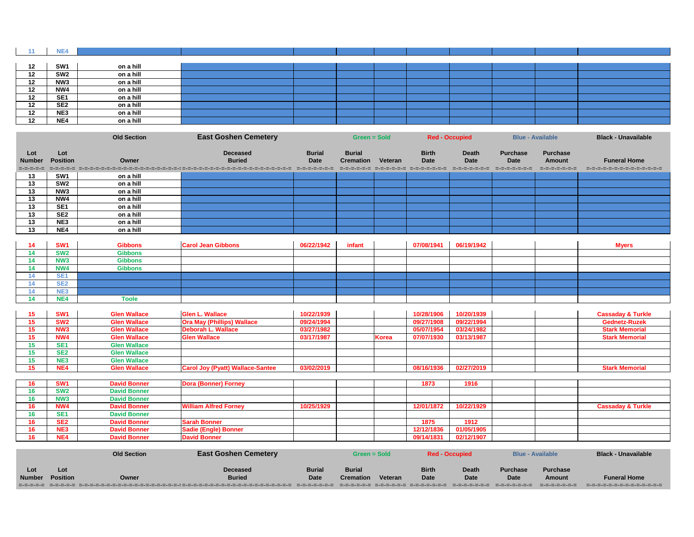|    | NE4             |           |  |  |  |  |
|----|-----------------|-----------|--|--|--|--|
|    |                 |           |  |  |  |  |
| 12 | SW <sub>1</sub> | on a hill |  |  |  |  |
| 12 | SW <sub>2</sub> | on a hill |  |  |  |  |
| 12 | NW <sub>3</sub> | on a hill |  |  |  |  |
| 12 | NW4             | on a hill |  |  |  |  |
| 12 | SE <sub>1</sub> | on a hill |  |  |  |  |
| 12 | SE <sub>2</sub> | on a hill |  |  |  |  |
| 12 | NE3             | on a hill |  |  |  |  |
| 12 | NE4             | on a hill |  |  |  |  |

**Lot Lot Deceased Burial Burial Birth Death Purchase Purchase Number Position Owner Buried Date Cremation Veteran Date Date Date Amount Funeral Home** sess sess secosososososososososososososososososo secoso secos secoso secoso secoso secoso secoso secososo secoso

## **OLD SECTION CEMETER Black - Unavailable**

| =-=-=-=-= | international contract and contract at |
|-----------|----------------------------------------|
|           |                                        |
|           |                                        |
|           |                                        |
|           |                                        |
|           |                                        |
|           |                                        |
|           |                                        |
|           |                                        |

| <b>Myers</b> |
|--------------|
|              |
|              |
|              |
|              |
|              |
|              |
|              |

| <b>Cassaday &amp; Turkle</b> |
|------------------------------|
| <b>Gednetz-Ruzek</b>         |
| <b>Stark Memorial</b>        |
| <b>Stark Memorial</b>        |
|                              |
|                              |
|                              |
| <b>Stark Memorial</b>        |
|                              |
|                              |
|                              |

| <b>Cassaday &amp; Turkle</b> |
|------------------------------|
|                              |
|                              |
|                              |
|                              |

# **OLD SECTION CEMETER Black - Unavailable**

|                 |                 | <b>Old Section</b>  | <b>East Goshen Cemetery</b>                                                                             |               | <b>Green = Sold</b> |              | <b>Red - Occupied</b> |                       | <b>Blue - Available</b> |                 | <b>Black - Unavailable</b>   |
|-----------------|-----------------|---------------------|---------------------------------------------------------------------------------------------------------|---------------|---------------------|--------------|-----------------------|-----------------------|-------------------------|-----------------|------------------------------|
| Lot             | Lot             |                     | <b>Deceased</b>                                                                                         | <b>Burial</b> | <b>Burial</b>       |              | <b>Birth</b>          | <b>Death</b>          | <b>Purchase</b>         | <b>Purchase</b> |                              |
| <b>Number</b>   | <b>Position</b> | Owner               | <b>Buried</b>                                                                                           | <b>Date</b>   | <b>Cremation</b>    | Veteran      | <b>Date</b>           | <b>Date</b>           | <b>Date</b>             | <b>Amount</b>   | <b>Funeral Home</b>          |
| =-=-=-=-=       | =-=-=-=-=       |                     | international distribution and contract the contract of the contract of the contract of the contract of | =-=-=-=-=-=-= |                     |              |                       | =-=-=-=-=-=-=         | ------------            | =-=-=-=-=-=-=   | =======================      |
| 13              | SW <sub>1</sub> | on a hill           |                                                                                                         |               |                     |              |                       |                       |                         |                 |                              |
| 13              | SW2             | on a hill           |                                                                                                         |               |                     |              |                       |                       |                         |                 |                              |
| 13              | NW <sub>3</sub> | on a hill           |                                                                                                         |               |                     |              |                       |                       |                         |                 |                              |
| 13              | NW4             | on a hill           |                                                                                                         |               |                     |              |                       |                       |                         |                 |                              |
| $\overline{13}$ | SE1             | on a hill           |                                                                                                         |               |                     |              |                       |                       |                         |                 |                              |
| 13              | SE <sub>2</sub> | on a hill           |                                                                                                         |               |                     |              |                       |                       |                         |                 |                              |
| 13              | NE3             | on a hill           |                                                                                                         |               |                     |              |                       |                       |                         |                 |                              |
| $\overline{13}$ | NE4             | on a hill           |                                                                                                         |               |                     |              |                       |                       |                         |                 |                              |
|                 |                 |                     |                                                                                                         |               |                     |              |                       |                       |                         |                 |                              |
| 14              | SW <sub>1</sub> | <b>Gibbons</b>      | <b>Carol Jean Gibbons</b>                                                                               | 06/22/1942    | infant              |              | 07/08/1941            | 06/19/1942            |                         |                 | <b>Myers</b>                 |
| 14              | SW <sub>2</sub> | <b>Gibbons</b>      |                                                                                                         |               |                     |              |                       |                       |                         |                 |                              |
| 14              | <b>NW3</b>      | <b>Gibbons</b>      |                                                                                                         |               |                     |              |                       |                       |                         |                 |                              |
| 14              | NW4             | <b>Gibbons</b>      |                                                                                                         |               |                     |              |                       |                       |                         |                 |                              |
| 14              | SE <sub>1</sub> |                     |                                                                                                         |               |                     |              |                       |                       |                         |                 |                              |
| 14              | SE <sub>2</sub> |                     |                                                                                                         |               |                     |              |                       |                       |                         |                 |                              |
| 14              | NE3             |                     |                                                                                                         |               |                     |              |                       |                       |                         |                 |                              |
| 14              | NE4             | <b>Toole</b>        |                                                                                                         |               |                     |              |                       |                       |                         |                 |                              |
|                 |                 |                     |                                                                                                         |               |                     |              |                       |                       |                         |                 |                              |
| 15              | SW <sub>1</sub> | <b>Glen Wallace</b> | <b>Glen L. Wallace</b>                                                                                  | 10/22/1939    |                     |              | 10/28/1906            | 10/20/1939            |                         |                 | <b>Cassaday &amp; Turkle</b> |
| 15              | SW <sub>2</sub> | <b>Glen Wallace</b> | <b>Ora May (Phillips) Wallace</b>                                                                       | 09/24/1994    |                     |              | 09/27/1908            | 09/22/1994            |                         |                 | <b>Gednetz-Ruzek</b>         |
| 15              | NW <sub>3</sub> | <b>Glen Wallace</b> | <b>Deborah L. Wallace</b>                                                                               | 03/27/1982    |                     |              | 05/07/1954            | 03/24/1982            |                         |                 | <b>Stark Memorial</b>        |
| 15              | NW4             | <b>Glen Wallace</b> | <b>Glen Wallace</b>                                                                                     | 03/17/1987    |                     | <b>Korea</b> | 07/07/1930            | 03/13/1987            |                         |                 | <b>Stark Memorial</b>        |
| 15              | SE <sub>1</sub> | <b>Glen Wallace</b> |                                                                                                         |               |                     |              |                       |                       |                         |                 |                              |
| 15              | SE <sub>2</sub> | <b>Glen Wallace</b> |                                                                                                         |               |                     |              |                       |                       |                         |                 |                              |
| 15              | NE3             | <b>Glen Wallace</b> |                                                                                                         |               |                     |              |                       |                       |                         |                 |                              |
| 15              | NE4             | <b>Glen Wallace</b> | <b>Carol Joy (Pyatt) Wallace-Santee</b>                                                                 | 03/02/2019    |                     |              | 08/16/1936            | 02/27/2019            |                         |                 | <b>Stark Memorial</b>        |
|                 |                 |                     |                                                                                                         |               |                     |              |                       |                       |                         |                 |                              |
| 16              | SW <sub>1</sub> | <b>David Bonner</b> | <b>Dora (Bonner) Forney</b>                                                                             |               |                     |              | 1873                  | 1916                  |                         |                 |                              |
| 16              | SW <sub>2</sub> | <b>David Bonner</b> |                                                                                                         |               |                     |              |                       |                       |                         |                 |                              |
| 16              | NW <sub>3</sub> | <b>David Bonner</b> |                                                                                                         |               |                     |              |                       |                       |                         |                 |                              |
| 16              | NW4             | <b>David Bonner</b> | <b>William Alfred Forney</b>                                                                            | 10/25/1929    |                     |              | 12/01/1872            | 10/22/1929            |                         |                 | <b>Cassaday &amp; Turkle</b> |
| 16              | SE <sub>1</sub> | <b>David Bonner</b> |                                                                                                         |               |                     |              |                       |                       |                         |                 |                              |
| 16              | SE <sub>2</sub> | <b>David Bonner</b> | <b>Sarah Bonner</b>                                                                                     |               |                     |              | 1875                  | 1912                  |                         |                 |                              |
| 16              | NE3             | <b>David Bonner</b> | <b>Sadie (Engle) Bonner</b>                                                                             |               |                     |              | 12/12/1836            | 01/05/1905            |                         |                 |                              |
| 16              | NE4             | <b>David Bonner</b> | <b>David Bonner</b>                                                                                     |               |                     |              | 09/14/1831            | 02/12/1907            |                         |                 |                              |
|                 |                 |                     |                                                                                                         |               |                     |              |                       |                       |                         |                 |                              |
|                 |                 |                     |                                                                                                         |               |                     |              |                       |                       |                         |                 |                              |
|                 |                 | <b>Old Section</b>  | <b>East Goshen Cemetery</b>                                                                             |               | <b>Green = Sold</b> |              |                       | <b>Red - Occupied</b> | <b>Blue - Available</b> |                 | <b>Black - Unavailable</b>   |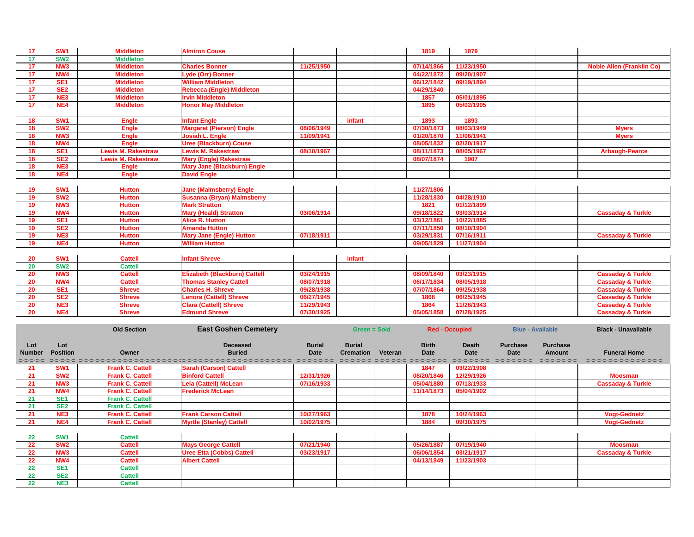| 17              | <b>SW1</b>      | <b>Middleton</b>          | <b>Almiron Couse</b>               |            |        | 1819       | 1879       |                                  |
|-----------------|-----------------|---------------------------|------------------------------------|------------|--------|------------|------------|----------------------------------|
| 17              | <b>SW2</b>      | <b>Middleton</b>          |                                    |            |        |            |            |                                  |
| 17              | <b>NW3</b>      | <b>Middleton</b>          | <b>Charles Bonner</b>              | 11/25/1950 |        | 07/14/1866 | 11/23/1950 | <b>Noble Allen (Franklin Co)</b> |
| 17              | NW4             | <b>Middleton</b>          | <b>Lyde (Orr) Bonner</b>           |            |        | 04/22/1872 | 09/20/1907 |                                  |
| 17              | <b>SE1</b>      | <b>Middleton</b>          | <b>William Middleton</b>           |            |        | 06/12/1842 | 09/19/1894 |                                  |
| 17              | SE <sub>2</sub> | <b>Middleton</b>          | <b>Rebecca (Engle) Middleton</b>   |            |        | 04/29/1840 |            |                                  |
| 17              | NE3             | <b>Middleton</b>          | <b>Irvin Middleton</b>             |            |        | 1857       | 05/01/1895 |                                  |
| $\overline{17}$ | NE4             | <b>Middleton</b>          | <b>Honor May Middleton</b>         |            |        | 1895       | 05/02/1905 |                                  |
|                 |                 |                           |                                    |            |        |            |            |                                  |
| 18              | <b>SW1</b>      | <b>Engle</b>              | <b>Infant Engle</b>                |            | infant | 1893       | 1893       |                                  |
| 18              | SW <sub>2</sub> | <b>Engle</b>              | <b>Margaret (Pierson) Engle</b>    | 08/06/1949 |        | 07/30/1873 | 08/03/1949 | <b>Myers</b>                     |
| 18              | NW <sub>3</sub> | <b>Engle</b>              | <b>Josiah L. Engle</b>             | 11/09/1941 |        | 01/20/1870 | 11/06/1941 | <b>Myers</b>                     |
| 18              | NW4             | <b>Engle</b>              | <b>Uree (Blackburn) Couse</b>      |            |        | 08/05/1832 | 02/20/1917 |                                  |
| 18              | <b>SE1</b>      | <b>Lewis M. Rakestraw</b> | <b>Lewis M. Rakestraw</b>          | 08/10/1967 |        | 08/11/1873 | 08/05/1967 | <b>Arbaugh-Pearce</b>            |
| 18              | SE <sub>2</sub> | <b>Lewis M. Rakestraw</b> | <b>Mary (Engle) Rakestraw</b>      |            |        | 08/07/1874 | 1907       |                                  |
| 18              | NE3             | <b>Engle</b>              | <b>Mary Jane (Blackburn) Engle</b> |            |        |            |            |                                  |
| 18              | NE4             | <b>Engle</b>              | <b>David Engle</b>                 |            |        |            |            |                                  |
|                 |                 |                           |                                    |            |        |            |            |                                  |
| 19              | <b>SW1</b>      | <b>Hutton</b>             | <b>Jane (Malmsberry) Engle</b>     |            |        | 11/27/1806 |            |                                  |
| 19              | <b>SW2</b>      | <b>Hutton</b>             | <b>Susanna (Bryan) Malmsberry</b>  |            |        | 11/28/1830 | 04/28/1910 |                                  |
| 19              | <b>NW3</b>      | <b>Hutton</b>             | <b>Mark Stratton</b>               |            |        | 1821       | 01/12/1899 |                                  |
| 19              | NW4             | <b>Hutton</b>             | <b>Mary (Heald) Stratton</b>       | 03/06/1914 |        | 09/18/1822 | 03/03/1914 | <b>Cassaday &amp; Turkle</b>     |
| 19              | <b>SE1</b>      | <b>Hutton</b>             | <b>Alice R. Hutton</b>             |            |        | 03/12/1861 | 10/22/1885 |                                  |
| 19              | SE <sub>2</sub> | <b>Hutton</b>             | <b>Amanda Hutton</b>               |            |        | 07/11/1850 | 08/10/1904 |                                  |
| 19              | NE3             | <b>Hutton</b>             | <b>Mary Jane (Engle) Hutton</b>    | 07/18/1911 |        | 03/29/1831 | 07/16/1911 | <b>Cassaday &amp; Turkle</b>     |
| 19              | NE4             | <b>Hutton</b>             | <b>William Hutton</b>              |            |        | 09/05/1829 | 11/27/1904 |                                  |
|                 |                 |                           |                                    |            |        |            |            |                                  |
| 20              | <b>SW1</b>      | <b>Cattell</b>            | <b>Infant Shreve</b>               |            | infant |            |            |                                  |
| 20              | <b>SW2</b>      | <b>Cattell</b>            |                                    |            |        |            |            |                                  |
| <b>20</b>       | NW <sub>3</sub> | <b>Cattell</b>            | Elizabeth (Blackburn) Cattell      | 03/24/1915 |        | 08/09/1840 | 03/23/1915 | <b>Cassaday &amp; Turkle</b>     |
| 20              | NW4             | <b>Cattell</b>            | <b>Thomas Stanley Cattell</b>      | 08/07/1918 |        | 06/17/1834 | 08/05/1918 | <b>Cassaday &amp; Turkle</b>     |
| 20              | <b>SE1</b>      | <b>Shreve</b>             | <b>Charles H. Shreve</b>           | 09/28/1938 |        | 07/07/1864 | 09/25/1938 | <b>Cassaday &amp; Turkle</b>     |
| 20              | SE <sub>2</sub> | <b>Shreve</b>             | <b>Lenora (Cattell) Shreve</b>     | 06/27/1945 |        | 1868       | 06/25/1945 | <b>Cassaday &amp; Turkle</b>     |
| 20              | NE3             | <b>Shreve</b>             | <b>Clara (Cattell) Shreve</b>      | 11/29/1943 |        | 1864       | 11/26/1943 | <b>Cassaday &amp; Turkle</b>     |
| <b>20</b>       | NE4             | <b>Shreve</b>             | <b>Edmund Shreve</b>               | 07/30/1925 |        | 05/05/1858 | 07/28/1925 | <b>Cassaday &amp; Turkle</b>     |

|                                   | <b>Old Section</b>     |                         | <b>East Goshen Cemetery</b>                                                                                                                        |                                               |                                   | Green = Sold |                                             | <b>Red - Occupied</b>                 |                                          | <b>Blue - Available</b>                           | <b>Black - Unavailable</b>                         |  |
|-----------------------------------|------------------------|-------------------------|----------------------------------------------------------------------------------------------------------------------------------------------------|-----------------------------------------------|-----------------------------------|--------------|---------------------------------------------|---------------------------------------|------------------------------------------|---------------------------------------------------|----------------------------------------------------|--|
| Lot<br><b>Number</b><br>=-=-=-=-= | Lot<br><b>Position</b> | Owner                   | <b>Deceased</b><br><b>Buried</b><br>ist de stesse stesse stesse stesse stesse stesse stesse stesse stesse stesse stesse stesse stesse stesse stess | <b>Burial</b><br><b>Date</b><br>=-=-=-=-=-=-= | <b>Burial</b><br><b>Cremation</b> | Veteran      | <b>Birth</b><br>Date<br>CHORONOMO CHORONOMO | <b>Death</b><br>Date<br>=-=-=-=-=-=-= | <b>Purchase</b><br>Date<br>=-=-=-=-=-=-= | <b>Purchase</b><br><b>Amount</b><br>=-=-=-=-=-=-= | <b>Funeral Home</b><br>=-=-=-=-=-=-=-=-=-=-=-=-=-= |  |
| 21                                | SW <sub>1</sub>        | <b>Frank C. Cattell</b> | <b>Sarah (Carson) Cattell</b>                                                                                                                      |                                               |                                   |              | 1847                                        | 03/22/1908                            |                                          |                                                   |                                                    |  |
| 21                                | <b>SW2</b>             | <b>Frank C. Cattell</b> | <b>Binford Cattell</b>                                                                                                                             | 12/31/1926                                    |                                   |              | 08/20/1846                                  | 12/29/1926                            |                                          |                                                   | <b>Moosman</b>                                     |  |
| 21                                | NW <sub>3</sub>        | <b>Frank C. Cattell</b> | <b>Lela (Cattell) McLean</b>                                                                                                                       | 07/16/1933                                    |                                   |              | 05/04/1880                                  | 07/13/1933                            |                                          |                                                   | <b>Cassaday &amp; Turkle</b>                       |  |
| 21                                | NW4                    | <b>Frank C. Cattell</b> | <b>Frederick McLean</b>                                                                                                                            |                                               |                                   |              | 11/14/1873                                  | 05/04/1902                            |                                          |                                                   |                                                    |  |
| 21                                | <b>SE1</b>             | <b>Frank C. Cattell</b> |                                                                                                                                                    |                                               |                                   |              |                                             |                                       |                                          |                                                   |                                                    |  |
| 21                                | SE <sub>2</sub>        | <b>Frank C. Cattell</b> |                                                                                                                                                    |                                               |                                   |              |                                             |                                       |                                          |                                                   |                                                    |  |
| 21                                | NE3                    | <b>Frank C. Cattell</b> | <b>Frank Carson Cattell</b>                                                                                                                        | 10/27/1963                                    |                                   |              | 1878                                        | 10/24/1963                            |                                          |                                                   | <b>Vogt-Gednetz</b>                                |  |
| 21                                | NE4                    | <b>Frank C. Cattell</b> | <b>Myrtle (Stanley) Cattell</b>                                                                                                                    | 10/02/1975                                    |                                   |              | 1884                                        | 09/30/1975                            |                                          |                                                   | <b>Vogt-Gednetz</b>                                |  |
| 22                                | <b>SW1</b>             | <b>Cattell</b>          |                                                                                                                                                    |                                               |                                   |              |                                             |                                       |                                          |                                                   |                                                    |  |
| 22                                | <b>SW2</b>             | <b>Cattell</b>          | <b>Mays George Cattell</b>                                                                                                                         | 07/21/1940                                    |                                   |              | 05/26/1887                                  | 07/19/1940                            |                                          |                                                   | <b>Moosman</b>                                     |  |
| 22                                | NW <sub>3</sub>        | <b>Cattell</b>          | <b>Uree Etta (Cobbs) Cattell</b>                                                                                                                   | 03/23/1917                                    |                                   |              | 06/06/1854                                  | 03/21/1917                            |                                          |                                                   | <b>Cassaday &amp; Turkle</b>                       |  |
| 22                                | NW4                    | <b>Cattell</b>          | <b>Albert Cattell</b>                                                                                                                              |                                               |                                   |              | 04/13/1849                                  | 11/23/1903                            |                                          |                                                   |                                                    |  |
| 22                                | <b>SE1</b>             | <b>Cattell</b>          |                                                                                                                                                    |                                               |                                   |              |                                             |                                       |                                          |                                                   |                                                    |  |
| 22                                | SE <sub>2</sub>        | <b>Cattell</b>          |                                                                                                                                                    |                                               |                                   |              |                                             |                                       |                                          |                                                   |                                                    |  |
| 22                                | <b>NE3</b>             | <b>Cattell</b>          |                                                                                                                                                    |                                               |                                   |              |                                             |                                       |                                          |                                                   |                                                    |  |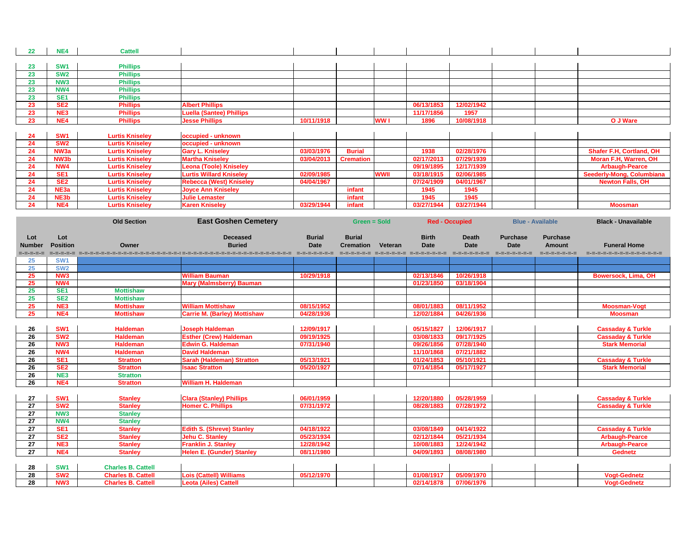| $22 \,$ | NE4              | <b>Cattell</b>         |                                 |            |                  |             |            |            |  |                                 |
|---------|------------------|------------------------|---------------------------------|------------|------------------|-------------|------------|------------|--|---------------------------------|
|         |                  |                        |                                 |            |                  |             |            |            |  |                                 |
| 23      | <b>SW1</b>       | <b>Phillips</b>        |                                 |            |                  |             |            |            |  |                                 |
| 23      | <b>SW2</b>       | <b>Phillips</b>        |                                 |            |                  |             |            |            |  |                                 |
| 23      | NW <sub>3</sub>  | <b>Phillips</b>        |                                 |            |                  |             |            |            |  |                                 |
| 23      | <b>NW4</b>       | <b>Phillips</b>        |                                 |            |                  |             |            |            |  |                                 |
| 23      | SE <sub>1</sub>  | <b>Phillips</b>        |                                 |            |                  |             |            |            |  |                                 |
| 23      | SE <sub>2</sub>  | <b>Phillips</b>        | <b>Albert Phillips</b>          |            |                  |             | 06/13/1853 | 12/02/1942 |  |                                 |
| 23      | NE3              | <b>Phillips</b>        | <b>Luella (Santee) Phillips</b> |            |                  |             | 11/17/1856 | 1957       |  |                                 |
| 23      | NE4              | <b>Phillips</b>        | <b>Jesse Phillips</b>           | 10/11/1918 |                  | WW I        | 1896       | 10/08/1918 |  | O J Ware                        |
|         |                  |                        |                                 |            |                  |             |            |            |  |                                 |
| 24      | <b>SW1</b>       | <b>Lurtis Kniseley</b> | occupied - unknown              |            |                  |             |            |            |  |                                 |
| 24      | <b>SW2</b>       | <b>Lurtis Kniseley</b> | occupied - unknown              |            |                  |             |            |            |  |                                 |
| 24      | NW <sub>3a</sub> | <b>Lurtis Kniseley</b> | <b>Gary L. Kniseley</b>         | 03/03/1976 | <b>Burial</b>    |             | 1938       | 02/28/1976 |  | <b>Shafer F.H, Cortland, OH</b> |
| 24      | NW3b             | <b>Lurtis Kniseley</b> | <b>Martha Kniseley</b>          | 03/04/2013 | <b>Cremation</b> |             | 02/17/2013 | 07/29/1939 |  | Moran F.H, Warren, OH           |
| 24      | NW4              | <b>Lurtis Kniseley</b> | <b>Leona (Toole) Kniseley</b>   |            |                  |             | 09/19/1895 | 12/17/1939 |  | <b>Arbaugh-Pearce</b>           |
| 24      | SE <sub>1</sub>  | <b>Lurtis Kniseley</b> | <b>Lurtis Willard Kniseley</b>  | 02/09/1985 |                  | <b>WWII</b> | 03/18/1915 | 02/06/1985 |  | <b>Seederly-Mong, Columbiar</b> |
| 24      | SE <sub>2</sub>  | <b>Lurtis Kniseley</b> | <b>Rebecca (West) Kniseley</b>  | 04/04/1967 |                  |             | 07/24/1909 | 04/01/1967 |  | <b>Newton Falls, OH</b>         |
| 24      | NE3a             | <b>Lurtis Kniseley</b> | <b>Joyce Ann Kniseley</b>       |            | infant           |             | 1945       | 1945       |  |                                 |
| 24      | NE3b             | <b>Lurtis Kniseley</b> | <b>Julie Lemaster</b>           |            | infant           |             | 1945       | 1945       |  |                                 |
| 24      | NE4              | <b>Lurtis Kniseley</b> | <b>Karen Kniseley</b>           | 03/29/1944 | infant           |             | 03/27/1944 | 03/27/1944 |  | <b>Moosman</b>                  |

| O J Ware                         |
|----------------------------------|
|                                  |
|                                  |
|                                  |
| <b>Shafer F.H, Cortland, OH</b>  |
| <b>Moran F.H, Warren, OH</b>     |
| <b>Arbaugh-Pearce</b>            |
| <b>Seederly-Mong, Columbiana</b> |

| <b>Newton Falls, OH</b> |
|-------------------------|
|                         |
|                         |
| <b>Moosman</b>          |

| <b>Funeral Home</b> |  |  |
|---------------------|--|--|

|                                   |                        | <b>Old Section</b>        | <b>East Goshen Cemetery</b>                                                                                                    |                              | <b>Green = Sold</b>               |         | <b>Red - Occupied</b>                                                   |                                              |                                               | <b>Blue - Available</b>                           | <b>Black - Unavailable</b>                       |
|-----------------------------------|------------------------|---------------------------|--------------------------------------------------------------------------------------------------------------------------------|------------------------------|-----------------------------------|---------|-------------------------------------------------------------------------|----------------------------------------------|-----------------------------------------------|---------------------------------------------------|--------------------------------------------------|
| Lot<br><b>Number</b><br>=-=-=-=-= | Lot<br><b>Position</b> | Owner                     | <b>Deceased</b><br><b>Buried</b><br>sesse representativamente de la provincia de la contrata de la contrata de la provincia de | <b>Burial</b><br><b>Date</b> | <b>Burial</b><br><b>Cremation</b> | Veteran | <b>Birth</b><br><b>Date</b><br>distribution distribution distributions. | <b>Death</b><br><b>Date</b><br>=-=-=-=-=-=-= | <b>Purchase</b><br><b>Date</b><br>----------- | <b>Purchase</b><br><b>Amount</b><br>=-=-=-=-=-=-= | <b>Funeral Home</b><br>=-=-=-=-=-=-=-=-=-=-=-=-= |
| 25                                | SW <sub>1</sub>        |                           |                                                                                                                                |                              |                                   |         |                                                                         |                                              |                                               |                                                   |                                                  |
| 25                                | <b>SW2</b>             |                           |                                                                                                                                |                              |                                   |         |                                                                         |                                              |                                               |                                                   |                                                  |
| 25                                | NW <sub>3</sub>        |                           | <b>William Bauman</b>                                                                                                          | 10/29/1918                   |                                   |         | 02/13/1846                                                              | 10/26/1918                                   |                                               |                                                   | <b>Bowersock, Lima, OH</b>                       |
| 25                                | NW4                    |                           | <b>Mary (Malmsberry) Bauman</b>                                                                                                |                              |                                   |         | 01/23/1850                                                              | 03/18/1904                                   |                                               |                                                   |                                                  |
| 25                                | SE <sub>1</sub>        | <b>Mottishaw</b>          |                                                                                                                                |                              |                                   |         |                                                                         |                                              |                                               |                                                   |                                                  |
| 25                                | SE <sub>2</sub>        | <b>Mottishaw</b>          |                                                                                                                                |                              |                                   |         |                                                                         |                                              |                                               |                                                   |                                                  |
| 25                                | NE3                    | <b>Mottishaw</b>          | <b>William Mottishaw</b>                                                                                                       | 08/15/1952                   |                                   |         | 08/01/1883                                                              | 08/11/1952                                   |                                               |                                                   | <b>Moosman-Vogt</b>                              |
| 25                                | NE4                    | <b>Mottishaw</b>          | <b>Carrie M. (Barley) Mottishaw</b>                                                                                            | 04/28/1936                   |                                   |         | 12/02/1884                                                              | 04/26/1936                                   |                                               |                                                   | <b>Moosman</b>                                   |
|                                   |                        |                           |                                                                                                                                |                              |                                   |         |                                                                         |                                              |                                               |                                                   |                                                  |
| 26                                | <b>SW1</b>             | <b>Haldeman</b>           | <b>Joseph Haldeman</b>                                                                                                         | 12/09/1917                   |                                   |         | 05/15/1827                                                              | 12/06/1917                                   |                                               |                                                   | <b>Cassaday &amp; Turkle</b>                     |
| 26                                | SW <sub>2</sub>        | <b>Haldeman</b>           | <b>Esther (Crew) Haldeman</b>                                                                                                  | 09/19/1925                   |                                   |         | 03/08/1833                                                              | 09/17/1925                                   |                                               |                                                   | <b>Cassaday &amp; Turkle</b>                     |
| 26                                | NW <sub>3</sub>        | <b>Haldeman</b>           | <b>Edwin G. Haldeman</b>                                                                                                       | 07/31/1940                   |                                   |         | 09/26/1856                                                              | 07/28/1940                                   |                                               |                                                   | <b>Stark Memorial</b>                            |
| $\overline{26}$                   | NW4                    | <b>Haldeman</b>           | <b>David Haldeman</b>                                                                                                          |                              |                                   |         | 11/10/1868                                                              | 07/21/1882                                   |                                               |                                                   |                                                  |
| 26                                | SE <sub>1</sub>        | <b>Stratton</b>           | <b>Sarah (Haldeman) Stratton</b>                                                                                               | 05/13/1921                   |                                   |         | 01/24/1853                                                              | 05/10/1921                                   |                                               |                                                   | <b>Cassaday &amp; Turkle</b>                     |
| 26                                | SE <sub>2</sub>        | <b>Stratton</b>           | <b>Isaac Stratton</b>                                                                                                          | 05/20/1927                   |                                   |         | 07/14/1854                                                              | 05/17/1927                                   |                                               |                                                   | <b>Stark Memorial</b>                            |
| 26                                | NE3                    | <b>Stratton</b>           |                                                                                                                                |                              |                                   |         |                                                                         |                                              |                                               |                                                   |                                                  |
| 26                                | NE4                    | <b>Stratton</b>           | <b>William H. Haldeman</b>                                                                                                     |                              |                                   |         |                                                                         |                                              |                                               |                                                   |                                                  |
|                                   |                        |                           |                                                                                                                                |                              |                                   |         |                                                                         |                                              |                                               |                                                   |                                                  |
| 27                                | SW <sub>1</sub>        | <b>Stanley</b>            | <b>Clara (Stanley) Phillips</b>                                                                                                | 06/01/1959                   |                                   |         | 12/20/1880                                                              | 05/28/1959                                   |                                               |                                                   | <b>Cassaday &amp; Turkle</b>                     |
| $\overline{27}$                   | SW <sub>2</sub>        | <b>Stanley</b>            | <b>Homer C. Phillips</b>                                                                                                       | 07/31/1972                   |                                   |         | 08/28/1883                                                              | 07/28/1972                                   |                                               |                                                   | <b>Cassaday &amp; Turkle</b>                     |
| 27                                | NW <sub>3</sub>        | <b>Stanley</b>            |                                                                                                                                |                              |                                   |         |                                                                         |                                              |                                               |                                                   |                                                  |
| $\overline{27}$                   | <b>NW4</b>             | <b>Stanley</b>            |                                                                                                                                |                              |                                   |         |                                                                         |                                              |                                               |                                                   |                                                  |
| 27                                | SE <sub>1</sub>        | <b>Stanley</b>            | <b>Edith S. (Shreve) Stanley</b>                                                                                               | 04/18/1922                   |                                   |         | 03/08/1849                                                              | 04/14/1922                                   |                                               |                                                   | <b>Cassaday &amp; Turkle</b>                     |
| 27                                | SE <sub>2</sub>        | <b>Stanley</b>            | <b>Jehu C. Stanley</b>                                                                                                         | 05/23/1934                   |                                   |         | 02/12/1844                                                              | 05/21/1934                                   |                                               |                                                   | <b>Arbaugh-Pearce</b>                            |
| 27                                | NE3                    | <b>Stanley</b>            | <b>Franklin J. Stanley</b>                                                                                                     | 12/28/1942                   |                                   |         | 10/08/1883                                                              | 12/24/1942                                   |                                               |                                                   | <b>Arbaugh-Pearce</b>                            |
| 27                                | NE4                    | <b>Stanley</b>            | <b>Helen E. (Gunder) Stanley</b>                                                                                               | 08/11/1980                   |                                   |         | 04/09/1893                                                              | 08/08/1980                                   |                                               |                                                   | <b>Gednetz</b>                                   |
|                                   |                        |                           |                                                                                                                                |                              |                                   |         |                                                                         |                                              |                                               |                                                   |                                                  |
| 28                                | <b>SW1</b>             | <b>Charles B. Cattell</b> |                                                                                                                                |                              |                                   |         |                                                                         |                                              |                                               |                                                   |                                                  |
| 28                                | SW <sub>2</sub>        | <b>Charles B. Cattell</b> | <b>Lois (Cattell) Williams</b>                                                                                                 | 05/12/1970                   |                                   |         | 01/08/1917                                                              | 05/09/1970                                   |                                               |                                                   | <b>Vogt-Gednetz</b>                              |
| 28                                | NW <sub>3</sub>        | <b>Charles B. Cattell</b> | <b>Leota (Ailes) Cattell</b>                                                                                                   |                              |                                   |         | 02/14/1878                                                              | 07/06/1976                                   |                                               |                                                   | <b>Vogt-Gednetz</b>                              |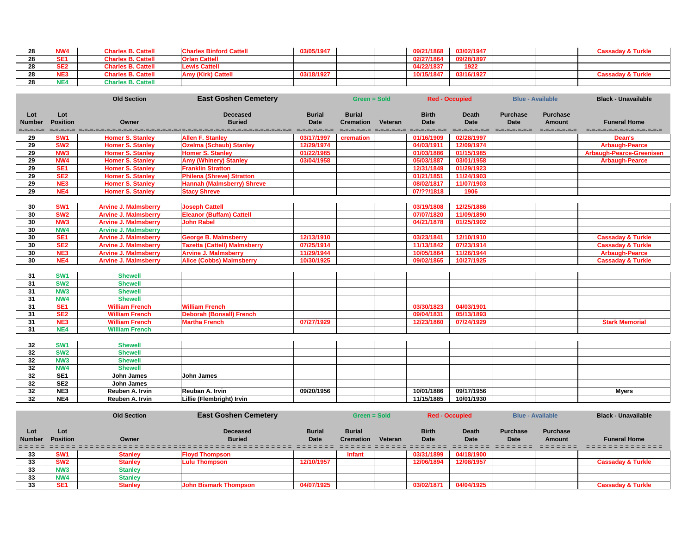| 28              | <b>NW4</b>      | <b>Charles B. Cattell</b>   | <b>Charles Binford Cattell</b>                                                             | 03/05/1947    |                     |         | 09/21/1868                   | 03/02/1947                 |                 |                         | <b>Cassaday &amp; Turkle</b>    |
|-----------------|-----------------|-----------------------------|--------------------------------------------------------------------------------------------|---------------|---------------------|---------|------------------------------|----------------------------|-----------------|-------------------------|---------------------------------|
| $\overline{28}$ | SE <sub>1</sub> | <b>Charles B. Cattell</b>   | <b>Orlan Cattell</b>                                                                       |               |                     |         | 02/27/1864                   | 09/28/1897                 |                 |                         |                                 |
| 28              | SE <sub>2</sub> | <b>Charles B. Cattell</b>   | <b>Lewis Cattell</b>                                                                       |               |                     |         | 04/22/1837                   | 1922                       |                 |                         |                                 |
| 28              | NE3             | <b>Charles B. Cattell</b>   | <b>Amy (Kirk) Cattell</b>                                                                  | 03/18/1927    |                     |         | 10/15/1847                   | 03/16/1927                 |                 |                         | <b>Cassaday &amp; Turkle</b>    |
| 28              | NE4             | <b>Charles B. Cattell</b>   |                                                                                            |               |                     |         |                              |                            |                 |                         |                                 |
|                 |                 |                             |                                                                                            |               |                     |         |                              |                            |                 |                         |                                 |
|                 |                 | <b>Old Section</b>          | <b>East Goshen Cemetery</b>                                                                |               | <b>Green = Sold</b> |         |                              | <b>Red - Occupied</b>      |                 | <b>Blue - Available</b> | <b>Black - Unavailable</b>      |
| Lot             | Lot             |                             | <b>Deceased</b>                                                                            | <b>Burial</b> | <b>Burial</b>       |         | <b>Birth</b>                 | <b>Death</b>               | <b>Purchase</b> | <b>Purchase</b>         |                                 |
| <b>Number</b>   | <b>Position</b> | Owner                       | <b>Buried</b>                                                                              | <b>Date</b>   | <b>Cremation</b>    | Veteran | <b>Date</b>                  | <b>Date</b>                | <b>Date</b>     | <b>Amount</b>           | <b>Funeral Home</b>             |
| =-=-=-=-=       |                 |                             | sesse representativamente de la provincia de la contrata de la contrata de la provincia de |               |                     |         | concepted concepts concepted | $= -1 - 1 - 1 - 1 - 1 - 1$ | =-=-=-=-=-=-=   | $= - - - - - - - - - -$ | dromatic cross-dromatic cross-  |
| 29              | SW <sub>1</sub> | <b>Homer S. Stanley</b>     | <b>Allen F. Stanley</b>                                                                    | 03/17/1997    | cremation           |         | 01/16/1909                   | 02/28/1997                 |                 |                         | Dean's                          |
| 29              | SW <sub>2</sub> | <b>Homer S. Stanley</b>     | <b>Ozelma (Schaub) Stanley</b>                                                             | 12/29/1974    |                     |         | 04/03/1911                   | 12/09/1974                 |                 |                         | <b>Arbaugh-Pearce</b>           |
| 29              | NW <sub>3</sub> | <b>Homer S. Stanley</b>     | <b>Homer S. Stanley</b>                                                                    | 01/22/1985    |                     |         | 01/03/1886                   | 01/15/1985                 |                 |                         | <b>Arbaugh-Pearce-Greenisen</b> |
| 29              | NW4             | <b>Homer S. Stanley</b>     | <b>Amy (Whinery) Stanley</b>                                                               | 03/04/1958    |                     |         | 05/03/1887                   | 03/01/1958                 |                 |                         | <b>Arbaugh-Pearce</b>           |
| 29              | SE <sub>1</sub> | <b>Homer S. Stanley</b>     | <b>Franklin Stratton</b>                                                                   |               |                     |         | 12/31/1849                   | 01/29/1923                 |                 |                         |                                 |
| 29              | SE <sub>2</sub> | <b>Homer S. Stanley</b>     | <b>Philena (Shreve) Stratton</b>                                                           |               |                     |         | 01/21/1851                   | 11/24/1903                 |                 |                         |                                 |
| 29              | NE3             | <b>Homer S. Stanley</b>     | <b>Hannah (Malmsberry) Shreve</b>                                                          |               |                     |         | 08/02/1817                   | 11/07/1903                 |                 |                         |                                 |
| 29              | NE4             | <b>Homer S. Stanley</b>     | <b>Stacy Shreve</b>                                                                        |               |                     |         | 07/??/1818                   | 1906                       |                 |                         |                                 |
| 30              | SW <sub>1</sub> | <b>Arvine J. Malmsberry</b> | <b>Joseph Cattell</b>                                                                      |               |                     |         | 03/19/1808                   | 12/25/1886                 |                 |                         |                                 |
| 30              | <b>SW2</b>      | <b>Arvine J. Malmsberry</b> | <b>Eleanor (Buffam) Cattell</b>                                                            |               |                     |         | 07/07/1820                   | 11/09/1890                 |                 |                         |                                 |
| 30              | NW <sub>3</sub> | <b>Arvine J. Malmsberry</b> | <b>John Rabel</b>                                                                          |               |                     |         | 04/21/1878                   | 01/25/1902                 |                 |                         |                                 |
| 30              | <b>NW4</b>      | <b>Arvine J. Malmsberry</b> |                                                                                            |               |                     |         |                              |                            |                 |                         |                                 |
| 30              | SE <sub>1</sub> | <b>Arvine J. Malmsberry</b> | <b>George B. Malmsberry</b>                                                                | 12/13/1910    |                     |         | 03/23/1841                   | 12/10/1910                 |                 |                         | <b>Cassaday &amp; Turkle</b>    |
| 30              | SE <sub>2</sub> | <b>Arvine J. Malmsberry</b> | <b>Tazetta (Cattell) Malmsberry</b>                                                        | 07/25/1914    |                     |         | 11/13/1842                   | 07/23/1914                 |                 |                         | <b>Cassaday &amp; Turkle</b>    |
| 30              | NE3             | <b>Arvine J. Malmsberry</b> | <b>Arvine J. Malmsberry</b>                                                                | 11/29/1944    |                     |         | 10/05/1864                   | 11/26/1944                 |                 |                         | <b>Arbaugh-Pearce</b>           |
| 30              | NE4             | <b>Arvine J. Malmsberry</b> | <b>Alice (Cobbs) Malmsberry</b>                                                            | 10/30/1925    |                     |         | 09/02/1865                   | 10/27/1925                 |                 |                         | <b>Cassaday &amp; Turkle</b>    |
| 31              | SW <sub>1</sub> | <b>Shewell</b>              |                                                                                            |               |                     |         |                              |                            |                 |                         |                                 |
| 31              | SW <sub>2</sub> | <b>Shewell</b>              |                                                                                            |               |                     |         |                              |                            |                 |                         |                                 |
| 31              | <b>NW3</b>      | <b>Shewell</b>              |                                                                                            |               |                     |         |                              |                            |                 |                         |                                 |
| 31              | NW4             | <b>Shewell</b>              |                                                                                            |               |                     |         |                              |                            |                 |                         |                                 |
| 31              | SE <sub>1</sub> | <b>William French</b>       | <b>William French</b>                                                                      |               |                     |         | 03/30/1823                   | 04/03/1901                 |                 |                         |                                 |
| 31              | SE <sub>2</sub> | <b>William French</b>       | <b>Deborah (Bonsall) French</b>                                                            |               |                     |         | 09/04/1831                   | 05/13/1893                 |                 |                         |                                 |
| 31              | NE3             | <b>William French</b>       | <b>Martha French</b>                                                                       | 07/27/1929    |                     |         | 12/23/1860                   | 07/24/1929                 |                 |                         | <b>Stark Memorial</b>           |
| 31              | NE4             | <b>William French</b>       |                                                                                            |               |                     |         |                              |                            |                 |                         |                                 |
|                 |                 |                             |                                                                                            |               |                     |         |                              |                            |                 |                         |                                 |
| 32              | <b>SW1</b>      | <b>Shewell</b>              |                                                                                            |               |                     |         |                              |                            |                 |                         |                                 |
| 32              | <b>SW2</b>      | <b>Shewell</b>              |                                                                                            |               |                     |         |                              |                            |                 |                         |                                 |
| 32              | <b>NW3</b>      | <b>Shewell</b>              |                                                                                            |               |                     |         |                              |                            |                 |                         |                                 |
| 32              | <b>NW4</b>      | <b>Shewell</b>              |                                                                                            |               |                     |         |                              |                            |                 |                         |                                 |
| 32              | SE <sub>1</sub> | <b>John James</b>           | John James                                                                                 |               |                     |         |                              |                            |                 |                         |                                 |
| 32              | SE <sub>2</sub> | <b>John James</b>           |                                                                                            |               |                     |         |                              |                            |                 |                         |                                 |
| 32              | NE3             | Reuben A. Irvin             | Reuban A. Irvin                                                                            | 09/20/1956    |                     |         | 10/01/1886                   | 09/17/1956                 |                 |                         | <b>Myers</b>                    |
| 32              | NE4             | Reuben A. Irvin             | Lillie (Flembright) Irvin                                                                  |               |                     |         | 11/15/1885                   | 10/01/1930                 |                 |                         |                                 |
|                 |                 |                             |                                                                                            |               |                     |         |                              |                            |                 |                         |                                 |
|                 |                 | <b>Old Section</b>          | <b>East Goshen Cemetery</b>                                                                |               | <b>Green = Sold</b> |         |                              | <b>Red - Occupied</b>      |                 | <b>Blue - Available</b> | <b>Black - Unavailable</b>      |
| Lot             | Lot             |                             | <b>Deceased</b>                                                                            | <b>Burial</b> | <b>Burial</b>       |         | <b>Birth</b>                 | <b>Death</b>               | <b>Purchase</b> | <b>Purchase</b>         |                                 |
| <b>Number</b>   | <b>Position</b> | Owner                       | <b>Buried</b>                                                                              | <b>Date</b>   | <b>Cremation</b>    | Veteran | <b>Date</b>                  | <b>Date</b>                | <b>Date</b>     | <b>Amount</b>           | <b>Funeral Home</b>             |

| number | <b>POSITION</b> | owner   | puried                                                                                                                | Date           | Cremation     | veteran | Date       | Date       | <b>Date</b> | Amount      | <b>Funeral Home</b>                    |
|--------|-----------------|---------|-----------------------------------------------------------------------------------------------------------------------|----------------|---------------|---------|------------|------------|-------------|-------------|----------------------------------------|
|        |                 |         | [그리고 - 그리고 시 그리고 - 그리고 - 그리고 - 그리고 - 그리고 - 그리고 - 그리고 - 그리고 - 그리고 - 그리고 - 그리고 - 그리고 - 그리고 - 그리고 - 그리고 - 그리고 - 그리고 - 그리 | ______________ |               |         |            |            |             | ----------- | international contents in the contents |
| ◡      | SW <sub>1</sub> | Stanlev | <b>Floyd Thompson</b>                                                                                                 |                | <b>Infant</b> |         | 03/31/1899 | 04/18/1900 |             |             |                                        |
| ◡      | SW <sub>2</sub> | stanlev | Lulu Thompson                                                                                                         | 2/10/1957      |               |         | 12/06/1894 | 12/08/1957 |             |             | Cassaday & Turkle                      |
|        | NW <sub>3</sub> | Stanlev |                                                                                                                       |                |               |         |            |            |             |             |                                        |
|        | NW <sub>4</sub> | Stanlev |                                                                                                                       |                |               |         |            |            |             |             |                                        |
|        | <b>CE4</b>      | Stanlev | <b>John Bismark Thompson</b>                                                                                          | 1/07/1925      |               |         | J3/02/1871 | 04/04/1925 |             |             | Cassadav & Turkle                      |

**SE1 Stanley John Bismark Thompson 04/07/1925 Cass 103/02/1871 04/04/1925**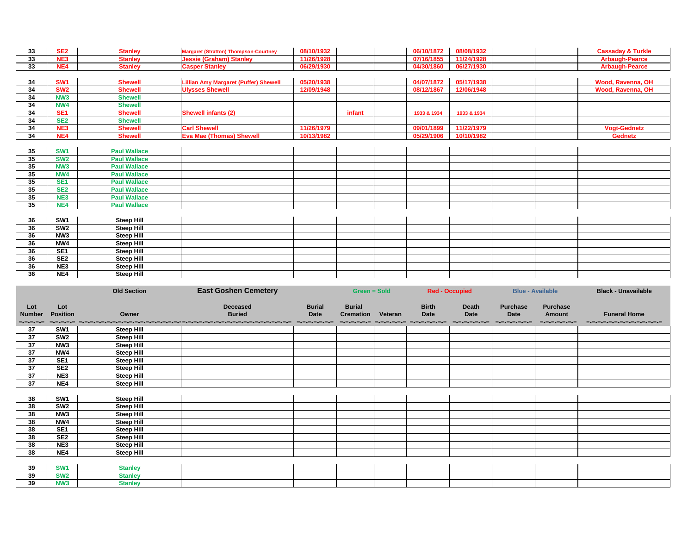| 33 | SE <sub>2</sub> | <b>Stanley</b>      | <b>Margaret (Stratton) Thompson-Courtney</b> | 08/10/1932 |        | 06/10/1872  | 08/08/1932  |  | <b>Cassaday &amp; Turkle</b> |
|----|-----------------|---------------------|----------------------------------------------|------------|--------|-------------|-------------|--|------------------------------|
| 33 | <b>NE3</b>      | <b>Stanley</b>      | <b>Jessie (Graham) Stanley</b>               | 11/26/1928 |        | 07/16/1855  | 11/24/1928  |  | <b>Arbaugh-Pearce</b>        |
| 33 | NE4             | <b>Stanley</b>      | <b>Casper Stanley</b>                        | 06/29/1930 |        | 04/30/1860  | 06/27/1930  |  | <b>Arbaugh-Pearce</b>        |
|    |                 |                     |                                              |            |        |             |             |  |                              |
| 34 | SW <sub>1</sub> | <b>Shewell</b>      | <b>Lillian Amy Margaret (Puffer) Shewell</b> | 05/20/1938 |        | 04/07/1872  | 05/17/1938  |  | Wood, Ravenna, OH            |
| 34 | SW <sub>2</sub> | <b>Shewell</b>      | <b>Ulysses Shewell</b>                       | 12/09/1948 |        | 08/12/1867  | 12/06/1948  |  | <b>Wood, Ravenna, OH</b>     |
| 34 | NW <sub>3</sub> | <b>Shewell</b>      |                                              |            |        |             |             |  |                              |
| 34 | NW4             | <b>Shewell</b>      |                                              |            |        |             |             |  |                              |
| 34 | SE <sub>1</sub> | <b>Shewell</b>      | <b>Shewell infants (2)</b>                   |            | infant | 1933 & 1934 | 1933 & 1934 |  |                              |
| 34 | SE <sub>2</sub> | <b>Shewell</b>      |                                              |            |        |             |             |  |                              |
| 34 | NE <sub>3</sub> | <b>Shewell</b>      | <b>Carl Shewell</b>                          | 11/26/1979 |        | 09/01/1899  | 11/22/1979  |  | <b>Vogt-Gednetz</b>          |
| 34 | NE4             | <b>Shewell</b>      | <b>Eva Mae (Thomas) Shewell</b>              | 10/13/1982 |        | 05/29/1906  | 10/10/1982  |  | <b>Gednetz</b>               |
|    |                 |                     |                                              |            |        |             |             |  |                              |
| 35 | <b>SW1</b>      | <b>Paul Wallace</b> |                                              |            |        |             |             |  |                              |
| 35 | SW <sub>2</sub> | <b>Paul Wallace</b> |                                              |            |        |             |             |  |                              |
| 35 | NW <sub>3</sub> | <b>Paul Wallace</b> |                                              |            |        |             |             |  |                              |
| 35 | NW4             | <b>Paul Wallace</b> |                                              |            |        |             |             |  |                              |
| 35 | <b>SE1</b>      | <b>Paul Wallace</b> |                                              |            |        |             |             |  |                              |
| 35 | SE <sub>2</sub> | <b>Paul Wallace</b> |                                              |            |        |             |             |  |                              |
| 35 | NE <sub>3</sub> | <b>Paul Wallace</b> |                                              |            |        |             |             |  |                              |
| 35 | NE4             | <b>Paul Wallace</b> |                                              |            |        |             |             |  |                              |
|    |                 |                     |                                              |            |        |             |             |  |                              |
| 36 | SW <sub>1</sub> | <b>Steep Hill</b>   |                                              |            |        |             |             |  |                              |
| 36 | SW <sub>2</sub> | <b>Steep Hill</b>   |                                              |            |        |             |             |  |                              |
| 36 | NW <sub>3</sub> | <b>Steep Hill</b>   |                                              |            |        |             |             |  |                              |
| 36 | NW4             | <b>Steep Hill</b>   |                                              |            |        |             |             |  |                              |
| 36 | SE <sub>1</sub> | <b>Steep Hill</b>   |                                              |            |        |             |             |  |                              |
| 36 | SE <sub>2</sub> | <b>Steep Hill</b>   |                                              |            |        |             |             |  |                              |
| 36 | NE3             | <b>Steep Hill</b>   |                                              |            |        |             |             |  |                              |
| 36 | NE4             | <b>Steep Hill</b>   |                                              |            |        |             |             |  |                              |
|    |                 |                     |                                              |            |        |             |             |  |                              |

|                                   |                        | <b>Old Section</b> | <b>East Goshen Cemetery</b>                                                                                              | <b>Green = Sold</b>          |                                           |                             | <b>Red - Occupied</b>                       | <b>Blue - Available</b>                        |                                                   | <b>Black - Unavailable</b>                         |
|-----------------------------------|------------------------|--------------------|--------------------------------------------------------------------------------------------------------------------------|------------------------------|-------------------------------------------|-----------------------------|---------------------------------------------|------------------------------------------------|---------------------------------------------------|----------------------------------------------------|
| Lot<br><b>Number</b><br>=-=-=-=-= | Lot<br><b>Position</b> | Owner              | <b>Deceased</b><br><b>Buried</b><br>doods docadeedoodseedoodseedoodseedoodseedoodseedood docadeed activida docade docade | <b>Burial</b><br><b>Date</b> | <b>Burial</b><br><b>Cremation Veteran</b> | <b>Birth</b><br><b>Date</b> | <b>Death</b><br><b>Date</b><br>------------ | <b>Purchase</b><br><b>Date</b><br>------------ | <b>Purchase</b><br><b>Amount</b><br>=-=-=-=-=-=-= | <b>Funeral Home</b><br>=-=-=-=-=-=-=-=-=-=-=-=-=-= |
| 37                                | SW1                    | <b>Steep Hill</b>  |                                                                                                                          |                              |                                           |                             |                                             |                                                |                                                   |                                                    |
| 37                                | SW <sub>2</sub>        | <b>Steep Hill</b>  |                                                                                                                          |                              |                                           |                             |                                             |                                                |                                                   |                                                    |
| 37                                | NW <sub>3</sub>        | <b>Steep Hill</b>  |                                                                                                                          |                              |                                           |                             |                                             |                                                |                                                   |                                                    |
| 37                                | NW4                    | <b>Steep Hill</b>  |                                                                                                                          |                              |                                           |                             |                                             |                                                |                                                   |                                                    |
| 37                                | SE <sub>1</sub>        | <b>Steep Hill</b>  |                                                                                                                          |                              |                                           |                             |                                             |                                                |                                                   |                                                    |
| 37                                | SE <sub>2</sub>        | <b>Steep Hill</b>  |                                                                                                                          |                              |                                           |                             |                                             |                                                |                                                   |                                                    |
| 37                                | NE3                    | <b>Steep Hill</b>  |                                                                                                                          |                              |                                           |                             |                                             |                                                |                                                   |                                                    |
| 37                                | NE4                    | <b>Steep Hill</b>  |                                                                                                                          |                              |                                           |                             |                                             |                                                |                                                   |                                                    |
|                                   |                        |                    |                                                                                                                          |                              |                                           |                             |                                             |                                                |                                                   |                                                    |
| 38                                | SW <sub>1</sub>        | <b>Steep Hill</b>  |                                                                                                                          |                              |                                           |                             |                                             |                                                |                                                   |                                                    |
| 38                                | SW <sub>2</sub>        | <b>Steep Hill</b>  |                                                                                                                          |                              |                                           |                             |                                             |                                                |                                                   |                                                    |
| 38                                | NW <sub>3</sub>        | <b>Steep Hill</b>  |                                                                                                                          |                              |                                           |                             |                                             |                                                |                                                   |                                                    |
| 38                                | NW4                    | <b>Steep Hill</b>  |                                                                                                                          |                              |                                           |                             |                                             |                                                |                                                   |                                                    |
| 38                                | SE <sub>1</sub>        | <b>Steep Hill</b>  |                                                                                                                          |                              |                                           |                             |                                             |                                                |                                                   |                                                    |
| 38                                | SE <sub>2</sub>        | <b>Steep Hill</b>  |                                                                                                                          |                              |                                           |                             |                                             |                                                |                                                   |                                                    |
| 38                                | NE3                    | <b>Steep Hill</b>  |                                                                                                                          |                              |                                           |                             |                                             |                                                |                                                   |                                                    |
| 38                                | NE4                    | <b>Steep Hill</b>  |                                                                                                                          |                              |                                           |                             |                                             |                                                |                                                   |                                                    |
|                                   |                        |                    |                                                                                                                          |                              |                                           |                             |                                             |                                                |                                                   |                                                    |
| 39                                | <b>SW1</b>             | <b>Stanley</b>     |                                                                                                                          |                              |                                           |                             |                                             |                                                |                                                   |                                                    |
| 39                                | <b>SW2</b>             | <b>Stanley</b>     |                                                                                                                          |                              |                                           |                             |                                             |                                                |                                                   |                                                    |
| 39                                | <b>NW3</b>             | <b>Stanley</b>     |                                                                                                                          |                              |                                           |                             |                                             |                                                |                                                   |                                                    |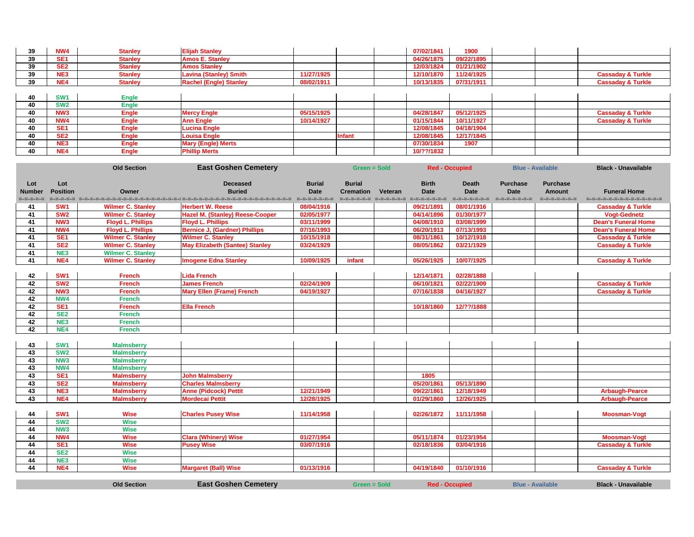| 39 | NW4             | Stanlev | <b>Elijah Stanley</b>         |            |  | 07/02/1841 | 1900       |  |                              |
|----|-----------------|---------|-------------------------------|------------|--|------------|------------|--|------------------------------|
| 39 | SE <sup>1</sup> | Stanley | <b>Amos E. Stanley</b>        |            |  | 04/26/1875 | 09/22/1895 |  |                              |
| 39 | SE <sub>2</sub> | Stanlev | <b>Amos Stanley</b>           |            |  | 12/03/1824 | 01/21/1902 |  |                              |
| 39 | <b>ALCO</b>     | Stanlev | <b>Lavina (Stanley) Smith</b> | 11/27/1925 |  | 12/10/1870 | 11/24/1925 |  | <b>Cassaday &amp; Turkle</b> |
| 39 | <b>ALC: 4</b>   | Stanley | <b>Rachel (Engle) Stanley</b> | 08/02/1911 |  | 10/13/1835 | 07/31/1911 |  | <b>Cassaday &amp; Turkle</b> |
|    |                 |         |                               |            |  |            |            |  |                              |

|    | SW <sub>1</sub> | <b>Engle</b> |                           |            |        |            |            |  |                              |
|----|-----------------|--------------|---------------------------|------------|--------|------------|------------|--|------------------------------|
| 40 | SW2             | <b>Engle</b> |                           |            |        |            |            |  |                              |
|    | NW <sub>3</sub> | <b>Engle</b> | <b>Mercy Engle</b>        | 05/15/1925 |        | 04/28/1847 | 05/12/1925 |  | <b>Cassaday &amp; Turkle</b> |
| 40 | NW4             | <b>Engle</b> | <b>Ann Engle</b>          | 10/14/1927 |        | 01/15/1844 | 10/11/1927 |  | <b>Cassaday &amp; Turkle</b> |
| 40 | SE1             | <b>Engle</b> | <b>Lucina Engle</b>       |            |        | 12/08/1845 | 04/18/1904 |  |                              |
|    | SE <sub>2</sub> | <b>Engle</b> | <b>Louisa Engle</b>       |            | Infant | 12/08/1845 | 12/17/1845 |  |                              |
| 40 | NE <sub>3</sub> | <b>Engle</b> | <b>Mary (Engle) Merts</b> |            |        | 07/30/1834 | 1907       |  |                              |
| 40 | NE4             | <b>Engle</b> | <b>Phillip Merts</b>      |            |        | 10/??/1832 |            |  |                              |

|                 |                 | <b>Old Section</b>       | <b>East Goshen Cemetery</b>            |               | Green = Sold     |         | <b>Red - Occupied</b>                     |              | <b>Blue - Available</b> |                 | <b>Black - Unavailable</b>   |
|-----------------|-----------------|--------------------------|----------------------------------------|---------------|------------------|---------|-------------------------------------------|--------------|-------------------------|-----------------|------------------------------|
| Lot             | Lot             |                          | <b>Deceased</b>                        | <b>Burial</b> | <b>Burial</b>    |         | <b>Birth</b>                              | <b>Death</b> | <b>Purchase</b>         | <b>Purchase</b> |                              |
| <b>Number</b>   | <b>Position</b> | Owner                    | <b>Buried</b>                          | <b>Date</b>   | <b>Cremation</b> | Veteran | <b>Date</b>                               | <b>Date</b>  | <b>Date</b>             | <b>Amount</b>   | <b>Funeral Home</b>          |
| =-=-=-=-=       |                 |                          |                                        |               |                  |         | consideration distribution distributions. | -----------  | ------------            | =-=-=-=-=-=-=   | ----------------------       |
| 41              | SW <sub>1</sub> | <b>Wilmer C. Stanley</b> | <b>Herbert W. Reese</b>                | 08/04/1916    |                  |         | 09/21/1891                                | 08/01/1916   |                         |                 | <b>Cassaday &amp; Turkle</b> |
| 41              | SW <sub>2</sub> | <b>Wilmer C. Stanley</b> | <b>Hazel M. (Stanley) Reese-Cooper</b> | 02/05/1977    |                  |         | 04/14/1896                                | 01/30/1977   |                         |                 | <b>Vogt-Gednetz</b>          |
| 41              | NW <sub>3</sub> | <b>Floyd L. Phillips</b> | <b>Floyd L. Phillips</b>               | 03/11/1999    |                  |         | 04/08/1910                                | 03/08/1999   |                         |                 | <b>Dean's Funeral Home</b>   |
| 41              | NW4             | <b>Floyd L. Phillips</b> | <b>Bernice J, (Gardner) Phillips</b>   | 07/16/1993    |                  |         | 06/20/1913                                | 07/13/1993   |                         |                 | <b>Dean's Funeral Home</b>   |
| 41              | SE <sub>1</sub> | <b>Wilmer C. Stanley</b> | <b>Wilmer C. Stanley</b>               | 10/15/1918    |                  |         | 08/31/1861                                | 10/12/1918   |                         |                 | <b>Cassaday &amp; Turkle</b> |
| 41              | SE <sub>2</sub> | <b>Wilmer C. Stanley</b> | <b>May Elizabeth (Santee) Stanley</b>  | 03/24/1929    |                  |         | 08/05/1862                                | 03/21/1929   |                         |                 | <b>Cassaday &amp; Turkle</b> |
| 41              | NE <sub>3</sub> | <b>Wilmer C. Stanley</b> |                                        |               |                  |         |                                           |              |                         |                 |                              |
| $\overline{41}$ | NE4             | <b>Wilmer C. Stanley</b> | <b>Imogene Edna Stanley</b>            | 10/09/1925    | infant           |         | 05/26/1925                                | 10/07/1925   |                         |                 | <b>Cassaday &amp; Turkle</b> |
|                 |                 |                          |                                        |               |                  |         |                                           |              |                         |                 |                              |
| 42              | SW <sub>1</sub> | <b>French</b>            | <b>Lida French</b>                     |               |                  |         | 12/14/1871                                | 02/28/1888   |                         |                 |                              |
| $\overline{42}$ | SW <sub>2</sub> | <b>French</b>            | <b>James French</b>                    | 02/24/1909    |                  |         | 06/10/1821                                | 02/22/1909   |                         |                 | <b>Cassaday &amp; Turkle</b> |
| 42              | NW <sub>3</sub> | <b>French</b>            | <b>Mary Ellen (Frame) French</b>       | 04/19/1927    |                  |         | 07/16/1838                                | 04/16/1927   |                         |                 | <b>Cassaday &amp; Turkle</b> |
| 42              | NW4             | <b>French</b>            |                                        |               |                  |         |                                           |              |                         |                 |                              |
| $\overline{42}$ | SE <sub>1</sub> | <b>French</b>            | <b>Ella French</b>                     |               |                  |         | 10/18/1860                                | 12/??/1888   |                         |                 |                              |
| 42              | <b>SE2</b>      | <b>French</b>            |                                        |               |                  |         |                                           |              |                         |                 |                              |
| 42              | NE <sub>3</sub> | <b>French</b>            |                                        |               |                  |         |                                           |              |                         |                 |                              |
| $\overline{42}$ | NE4             | <b>French</b>            |                                        |               |                  |         |                                           |              |                         |                 |                              |
|                 |                 |                          |                                        |               |                  |         |                                           |              |                         |                 |                              |
| 43              | SW <sub>1</sub> | <b>Malmsberry</b>        |                                        |               |                  |         |                                           |              |                         |                 |                              |
| 43              | SW <sub>2</sub> | <b>Malmsberry</b>        |                                        |               |                  |         |                                           |              |                         |                 |                              |
| 43              | NW <sub>3</sub> | <b>Malmsberry</b>        |                                        |               |                  |         |                                           |              |                         |                 |                              |
| $\overline{43}$ | NW4             | <b>Malmsberry</b>        |                                        |               |                  |         |                                           |              |                         |                 |                              |
| 43              | SE <sub>1</sub> | <b>Malmsberry</b>        | <b>John Malmsberry</b>                 |               |                  |         | 1805                                      |              |                         |                 |                              |
| 43              | <b>SE2</b>      | <b>Malmsberry</b>        | <b>Charles Malmsberry</b>              |               |                  |         | 05/20/1861                                | 05/13/1890   |                         |                 |                              |
| 43              | NE3             | <b>Malmsberry</b>        | <b>Anne (Pidcock) Pettit</b>           | 12/21/1949    |                  |         | 09/22/1861                                | 12/18/1949   |                         |                 | <b>Arbaugh-Pearce</b>        |
| 43              | NE4             | <b>Malmsberry</b>        | <b>Mordecai Pettit</b>                 | 12/28/1925    |                  |         | 01/29/1860                                | 12/26/1925   |                         |                 | <b>Arbaugh-Pearce</b>        |
|                 |                 |                          |                                        |               |                  |         |                                           |              |                         |                 |                              |
| 44              | SW <sub>1</sub> | <b>Wise</b>              | <b>Charles Pusey Wise</b>              | 11/14/1958    |                  |         | 02/26/1872                                | 11/11/1958   |                         |                 | <b>Moosman-Vogt</b>          |
| $\overline{44}$ | SW <sub>2</sub> | <b>Wise</b>              |                                        |               |                  |         |                                           |              |                         |                 |                              |
| $\overline{44}$ | NW <sub>3</sub> | <b>Wise</b>              |                                        |               |                  |         |                                           |              |                         |                 |                              |
| 44              | NW4             | <b>Wise</b>              | <b>Clara (Whinery) Wise</b>            | 01/27/1954    |                  |         | 05/11/1874                                | 01/23/1954   |                         |                 | <b>Moosman-Vogt</b>          |
| 44              | SE <sub>1</sub> | <b>Wise</b>              | <b>Pusey Wise</b>                      | 03/07/1916    |                  |         | 02/18/1836                                | 03/04/1916   |                         |                 | <b>Cassaday &amp; Turkle</b> |
| 44              | SE <sub>2</sub> | <b>Wise</b>              |                                        |               |                  |         |                                           |              |                         |                 |                              |
| 44              | NE3             | <b>Wise</b>              |                                        |               |                  |         |                                           |              |                         |                 |                              |
| 44              | NE4             | <b>Wise</b>              | <b>Margaret (Ball) Wise</b>            | 01/13/1916    |                  |         | 04/19/1840                                | 01/10/1916   |                         |                 | <b>Cassaday &amp; Turkle</b> |

**Red - Occupied** 

**Old Section East Goshen Cemetery Black - Unavailable Blue - Available** Blue - Available **Black - Unavailable**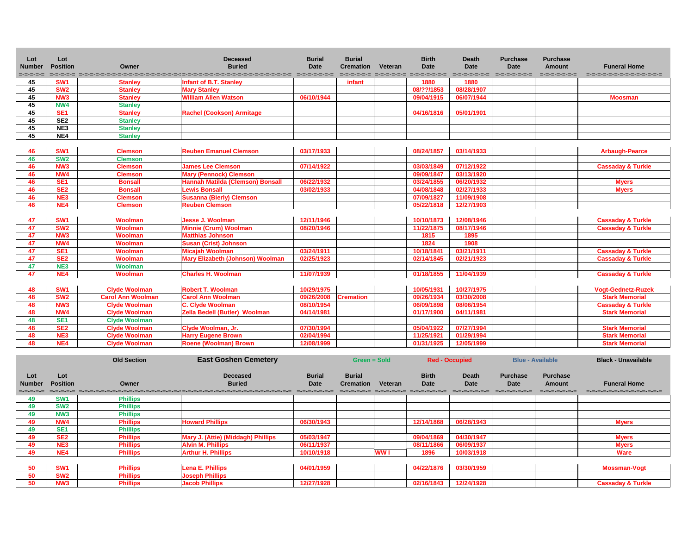| didioechdia didioechdia didioechdiae<br>=-=-=-=-=-=-=<br>=-=-=-=-=<br>second popolencomentale entre entre entre entre entre entre entre entre entre entre entre entre e<br>------------<br>=-=-=-=-=-=-=<br>=======================<br>SW <sub>1</sub><br>1880<br>1880<br>45<br><b>Stanley</b><br><b>Infant of B.T. Stanley</b><br>infant<br>08/28/1907<br>SW <sub>2</sub><br>08/??/1853<br>45<br><b>Mary Stanley</b><br><b>Stanley</b><br><b>William Allen Watson</b><br>NW <sub>3</sub><br>06/10/1944<br>09/04/1915<br>06/07/1944<br>45<br><b>Stanley</b><br><b>Moosman</b><br>45<br>NW4<br><b>Stanley</b><br>05/01/1901<br>45<br>SE <sub>1</sub><br>04/16/1816<br><b>Stanley</b><br><b>Rachel (Cookson) Armitage</b><br>SE <sub>2</sub><br>45<br><b>Stanley</b><br>NE3<br>45<br><b>Stanley</b><br>NE4<br>45<br><b>Stanley</b><br>SW <sub>1</sub><br>46<br>03/17/1933<br>08/24/1857<br>03/14/1933<br><b>Reuben Emanuel Clemson</b><br><b>Clemson</b><br><b>Arbaugh-Pearce</b><br>SW <sub>2</sub><br>46<br><b>Clemson</b><br>NW <sub>3</sub><br>07/12/1922<br>46<br><b>James Lee Clemson</b><br>07/14/1922<br>03/03/1849<br><b>Cassaday &amp; Turkle</b><br><b>Clemson</b><br>NW <sub>4</sub><br><b>Mary (Pennock) Clemson</b><br>09/09/1847<br>03/13/1920<br>46<br><b>Clemson</b><br>06/22/1932<br><b>SE1</b><br>03/24/1855<br>06/20/1932<br><b>Myers</b><br>46<br><b>Hannah Matilda (Clemson) Bonsall</b><br><b>Bonsall</b><br>SE <sub>2</sub><br>02/27/1933<br>46<br><b>Lewis Bonsall</b><br>03/02/1933<br>04/08/1848<br><b>Bonsall</b><br><b>Myers</b><br>NE3<br>11/09/1908<br><b>Susanna (Bierly) Clemson</b><br>07/09/1827<br>46<br><b>Clemson</b><br>46<br>NE4<br><b>Reuben Clemson</b><br>05/22/1818<br>12/27/1903<br><b>Clemson</b><br>SW <sub>1</sub><br>47<br>12/11/1946<br>12/08/1946<br><b>Woolman</b><br><b>Jesse J. Woolman</b><br>10/10/1873<br><b>Cassaday &amp; Turkle</b><br>SW <sub>2</sub><br>08/17/1946<br>47<br><b>Woolman</b><br><b>Minnie (Crum) Woolman</b><br>08/20/1946<br>11/22/1875<br><b>Cassaday &amp; Turkle</b><br>NW <sub>3</sub><br><b>Woolman</b><br>1895<br>47<br><b>Matthias Johnson</b><br>1815<br>NW4<br>1908<br>47<br><b>Woolman</b><br><b>Susan (Crist) Johnson</b><br>1824<br>03/24/1911<br>03/21/1911<br>10/18/1841<br>47<br>SE <sub>1</sub><br><b>Woolman</b><br><b>Micajah Woolman</b><br><b>Cassaday &amp; Turkle</b><br>SE <sub>2</sub><br><b>Mary Elizabeth (Johnson) Woolman</b><br>02/25/1923<br>02/21/1923<br>47<br><b>Woolman</b><br>02/14/1845<br><b>Cassaday &amp; Turkle</b><br>NE <sub>3</sub><br>47<br>Woolman<br>11/07/1939<br>11/04/1939<br>NE4<br><b>Charles H. Woolman</b><br>01/18/1855<br><b>Cassaday &amp; Turkle</b><br>47<br><b>Woolman</b><br>SW <sub>1</sub><br>10/29/1975<br>10/27/1975<br>48<br><b>Clyde Woolman</b><br><b>Robert T. Woolman</b><br>10/05/1931<br><b>Vogt-Gednetz-Ruzek</b><br>SW <sub>2</sub><br>48<br><b>Carol Ann Woolman</b><br><b>Carol Ann Woolman</b><br>09/26/1934<br>03/30/2008<br><b>Stark Memorial</b><br>09/26/2008<br><b>Cremation</b><br>NW <sub>3</sub><br>48<br><b>Clyde Woolman</b><br><b>C. Clyde Woolman</b><br>08/10/1954<br>06/09/1898<br>08/06/1954<br><b>Cassaday &amp; Turkle</b><br><b>Zella Bedell (Butler) Woolman</b><br>48<br>NW4<br><b>Clyde Woolman</b><br>04/14/1981<br>01/17/1900<br>04/11/1981<br><b>Stark Memorial</b><br>SE <sub>1</sub><br>48<br><b>Clyde Woolman</b><br>07/30/1994<br>07/27/1994<br>SE <sub>2</sub><br>Clyde Woolman, Jr.<br>05/04/1922<br><b>Stark Memorial</b><br>48<br><b>Clyde Woolman</b><br>NE3<br>02/04/1994<br><b>Clyde Woolman</b><br><b>Harry Eugene Brown</b><br>11/25/1921<br>01/29/1994<br>48<br><b>Stark Memorial</b><br>48<br>NE4<br>12/05/1999<br><b>Clyde Woolman</b><br><b>Roene (Woolman) Brown</b><br>12/08/1999<br>01/31/1925<br><b>Stark Memorial</b> | Lot<br><b>Number</b> | Lot<br><b>Position</b> | Owner | <b>Deceased</b><br><b>Buried</b> | <b>Burial</b><br><b>Date</b> | <b>Burial</b><br><b>Cremation</b> | Veteran | <b>Birth</b><br><b>Date</b> | <b>Death</b><br><b>Date</b> | <b>Purchase</b><br><b>Date</b> | <b>Purchase</b><br><b>Amount</b> | <b>Funeral Home</b> |
|----------------------------------------------------------------------------------------------------------------------------------------------------------------------------------------------------------------------------------------------------------------------------------------------------------------------------------------------------------------------------------------------------------------------------------------------------------------------------------------------------------------------------------------------------------------------------------------------------------------------------------------------------------------------------------------------------------------------------------------------------------------------------------------------------------------------------------------------------------------------------------------------------------------------------------------------------------------------------------------------------------------------------------------------------------------------------------------------------------------------------------------------------------------------------------------------------------------------------------------------------------------------------------------------------------------------------------------------------------------------------------------------------------------------------------------------------------------------------------------------------------------------------------------------------------------------------------------------------------------------------------------------------------------------------------------------------------------------------------------------------------------------------------------------------------------------------------------------------------------------------------------------------------------------------------------------------------------------------------------------------------------------------------------------------------------------------------------------------------------------------------------------------------------------------------------------------------------------------------------------------------------------------------------------------------------------------------------------------------------------------------------------------------------------------------------------------------------------------------------------------------------------------------------------------------------------------------------------------------------------------------------------------------------------------------------------------------------------------------------------------------------------------------------------------------------------------------------------------------------------------------------------------------------------------------------------------------------------------------------------------------------------------------------------------------------------------------------------------------------------------------------------------------------------------------------------------------------------------------------------------------------------------------------------------------------------------------------------------------------------------------------------------------------------------------------------------------------------------------------------------------------------------------------------------------------------------------------------------------------------------------------------------------------------------------------------------------------------------------------------------------------------------------------------------------------------------|----------------------|------------------------|-------|----------------------------------|------------------------------|-----------------------------------|---------|-----------------------------|-----------------------------|--------------------------------|----------------------------------|---------------------|
|                                                                                                                                                                                                                                                                                                                                                                                                                                                                                                                                                                                                                                                                                                                                                                                                                                                                                                                                                                                                                                                                                                                                                                                                                                                                                                                                                                                                                                                                                                                                                                                                                                                                                                                                                                                                                                                                                                                                                                                                                                                                                                                                                                                                                                                                                                                                                                                                                                                                                                                                                                                                                                                                                                                                                                                                                                                                                                                                                                                                                                                                                                                                                                                                                                                                                                                                                                                                                                                                                                                                                                                                                                                                                                                                                                                                                            |                      |                        |       |                                  |                              |                                   |         |                             |                             |                                |                                  |                     |
|                                                                                                                                                                                                                                                                                                                                                                                                                                                                                                                                                                                                                                                                                                                                                                                                                                                                                                                                                                                                                                                                                                                                                                                                                                                                                                                                                                                                                                                                                                                                                                                                                                                                                                                                                                                                                                                                                                                                                                                                                                                                                                                                                                                                                                                                                                                                                                                                                                                                                                                                                                                                                                                                                                                                                                                                                                                                                                                                                                                                                                                                                                                                                                                                                                                                                                                                                                                                                                                                                                                                                                                                                                                                                                                                                                                                                            |                      |                        |       |                                  |                              |                                   |         |                             |                             |                                |                                  |                     |
|                                                                                                                                                                                                                                                                                                                                                                                                                                                                                                                                                                                                                                                                                                                                                                                                                                                                                                                                                                                                                                                                                                                                                                                                                                                                                                                                                                                                                                                                                                                                                                                                                                                                                                                                                                                                                                                                                                                                                                                                                                                                                                                                                                                                                                                                                                                                                                                                                                                                                                                                                                                                                                                                                                                                                                                                                                                                                                                                                                                                                                                                                                                                                                                                                                                                                                                                                                                                                                                                                                                                                                                                                                                                                                                                                                                                                            |                      |                        |       |                                  |                              |                                   |         |                             |                             |                                |                                  |                     |
|                                                                                                                                                                                                                                                                                                                                                                                                                                                                                                                                                                                                                                                                                                                                                                                                                                                                                                                                                                                                                                                                                                                                                                                                                                                                                                                                                                                                                                                                                                                                                                                                                                                                                                                                                                                                                                                                                                                                                                                                                                                                                                                                                                                                                                                                                                                                                                                                                                                                                                                                                                                                                                                                                                                                                                                                                                                                                                                                                                                                                                                                                                                                                                                                                                                                                                                                                                                                                                                                                                                                                                                                                                                                                                                                                                                                                            |                      |                        |       |                                  |                              |                                   |         |                             |                             |                                |                                  |                     |
|                                                                                                                                                                                                                                                                                                                                                                                                                                                                                                                                                                                                                                                                                                                                                                                                                                                                                                                                                                                                                                                                                                                                                                                                                                                                                                                                                                                                                                                                                                                                                                                                                                                                                                                                                                                                                                                                                                                                                                                                                                                                                                                                                                                                                                                                                                                                                                                                                                                                                                                                                                                                                                                                                                                                                                                                                                                                                                                                                                                                                                                                                                                                                                                                                                                                                                                                                                                                                                                                                                                                                                                                                                                                                                                                                                                                                            |                      |                        |       |                                  |                              |                                   |         |                             |                             |                                |                                  |                     |
|                                                                                                                                                                                                                                                                                                                                                                                                                                                                                                                                                                                                                                                                                                                                                                                                                                                                                                                                                                                                                                                                                                                                                                                                                                                                                                                                                                                                                                                                                                                                                                                                                                                                                                                                                                                                                                                                                                                                                                                                                                                                                                                                                                                                                                                                                                                                                                                                                                                                                                                                                                                                                                                                                                                                                                                                                                                                                                                                                                                                                                                                                                                                                                                                                                                                                                                                                                                                                                                                                                                                                                                                                                                                                                                                                                                                                            |                      |                        |       |                                  |                              |                                   |         |                             |                             |                                |                                  |                     |
|                                                                                                                                                                                                                                                                                                                                                                                                                                                                                                                                                                                                                                                                                                                                                                                                                                                                                                                                                                                                                                                                                                                                                                                                                                                                                                                                                                                                                                                                                                                                                                                                                                                                                                                                                                                                                                                                                                                                                                                                                                                                                                                                                                                                                                                                                                                                                                                                                                                                                                                                                                                                                                                                                                                                                                                                                                                                                                                                                                                                                                                                                                                                                                                                                                                                                                                                                                                                                                                                                                                                                                                                                                                                                                                                                                                                                            |                      |                        |       |                                  |                              |                                   |         |                             |                             |                                |                                  |                     |
|                                                                                                                                                                                                                                                                                                                                                                                                                                                                                                                                                                                                                                                                                                                                                                                                                                                                                                                                                                                                                                                                                                                                                                                                                                                                                                                                                                                                                                                                                                                                                                                                                                                                                                                                                                                                                                                                                                                                                                                                                                                                                                                                                                                                                                                                                                                                                                                                                                                                                                                                                                                                                                                                                                                                                                                                                                                                                                                                                                                                                                                                                                                                                                                                                                                                                                                                                                                                                                                                                                                                                                                                                                                                                                                                                                                                                            |                      |                        |       |                                  |                              |                                   |         |                             |                             |                                |                                  |                     |
|                                                                                                                                                                                                                                                                                                                                                                                                                                                                                                                                                                                                                                                                                                                                                                                                                                                                                                                                                                                                                                                                                                                                                                                                                                                                                                                                                                                                                                                                                                                                                                                                                                                                                                                                                                                                                                                                                                                                                                                                                                                                                                                                                                                                                                                                                                                                                                                                                                                                                                                                                                                                                                                                                                                                                                                                                                                                                                                                                                                                                                                                                                                                                                                                                                                                                                                                                                                                                                                                                                                                                                                                                                                                                                                                                                                                                            |                      |                        |       |                                  |                              |                                   |         |                             |                             |                                |                                  |                     |
|                                                                                                                                                                                                                                                                                                                                                                                                                                                                                                                                                                                                                                                                                                                                                                                                                                                                                                                                                                                                                                                                                                                                                                                                                                                                                                                                                                                                                                                                                                                                                                                                                                                                                                                                                                                                                                                                                                                                                                                                                                                                                                                                                                                                                                                                                                                                                                                                                                                                                                                                                                                                                                                                                                                                                                                                                                                                                                                                                                                                                                                                                                                                                                                                                                                                                                                                                                                                                                                                                                                                                                                                                                                                                                                                                                                                                            |                      |                        |       |                                  |                              |                                   |         |                             |                             |                                |                                  |                     |
|                                                                                                                                                                                                                                                                                                                                                                                                                                                                                                                                                                                                                                                                                                                                                                                                                                                                                                                                                                                                                                                                                                                                                                                                                                                                                                                                                                                                                                                                                                                                                                                                                                                                                                                                                                                                                                                                                                                                                                                                                                                                                                                                                                                                                                                                                                                                                                                                                                                                                                                                                                                                                                                                                                                                                                                                                                                                                                                                                                                                                                                                                                                                                                                                                                                                                                                                                                                                                                                                                                                                                                                                                                                                                                                                                                                                                            |                      |                        |       |                                  |                              |                                   |         |                             |                             |                                |                                  |                     |
|                                                                                                                                                                                                                                                                                                                                                                                                                                                                                                                                                                                                                                                                                                                                                                                                                                                                                                                                                                                                                                                                                                                                                                                                                                                                                                                                                                                                                                                                                                                                                                                                                                                                                                                                                                                                                                                                                                                                                                                                                                                                                                                                                                                                                                                                                                                                                                                                                                                                                                                                                                                                                                                                                                                                                                                                                                                                                                                                                                                                                                                                                                                                                                                                                                                                                                                                                                                                                                                                                                                                                                                                                                                                                                                                                                                                                            |                      |                        |       |                                  |                              |                                   |         |                             |                             |                                |                                  |                     |
|                                                                                                                                                                                                                                                                                                                                                                                                                                                                                                                                                                                                                                                                                                                                                                                                                                                                                                                                                                                                                                                                                                                                                                                                                                                                                                                                                                                                                                                                                                                                                                                                                                                                                                                                                                                                                                                                                                                                                                                                                                                                                                                                                                                                                                                                                                                                                                                                                                                                                                                                                                                                                                                                                                                                                                                                                                                                                                                                                                                                                                                                                                                                                                                                                                                                                                                                                                                                                                                                                                                                                                                                                                                                                                                                                                                                                            |                      |                        |       |                                  |                              |                                   |         |                             |                             |                                |                                  |                     |
|                                                                                                                                                                                                                                                                                                                                                                                                                                                                                                                                                                                                                                                                                                                                                                                                                                                                                                                                                                                                                                                                                                                                                                                                                                                                                                                                                                                                                                                                                                                                                                                                                                                                                                                                                                                                                                                                                                                                                                                                                                                                                                                                                                                                                                                                                                                                                                                                                                                                                                                                                                                                                                                                                                                                                                                                                                                                                                                                                                                                                                                                                                                                                                                                                                                                                                                                                                                                                                                                                                                                                                                                                                                                                                                                                                                                                            |                      |                        |       |                                  |                              |                                   |         |                             |                             |                                |                                  |                     |
|                                                                                                                                                                                                                                                                                                                                                                                                                                                                                                                                                                                                                                                                                                                                                                                                                                                                                                                                                                                                                                                                                                                                                                                                                                                                                                                                                                                                                                                                                                                                                                                                                                                                                                                                                                                                                                                                                                                                                                                                                                                                                                                                                                                                                                                                                                                                                                                                                                                                                                                                                                                                                                                                                                                                                                                                                                                                                                                                                                                                                                                                                                                                                                                                                                                                                                                                                                                                                                                                                                                                                                                                                                                                                                                                                                                                                            |                      |                        |       |                                  |                              |                                   |         |                             |                             |                                |                                  |                     |
|                                                                                                                                                                                                                                                                                                                                                                                                                                                                                                                                                                                                                                                                                                                                                                                                                                                                                                                                                                                                                                                                                                                                                                                                                                                                                                                                                                                                                                                                                                                                                                                                                                                                                                                                                                                                                                                                                                                                                                                                                                                                                                                                                                                                                                                                                                                                                                                                                                                                                                                                                                                                                                                                                                                                                                                                                                                                                                                                                                                                                                                                                                                                                                                                                                                                                                                                                                                                                                                                                                                                                                                                                                                                                                                                                                                                                            |                      |                        |       |                                  |                              |                                   |         |                             |                             |                                |                                  |                     |
|                                                                                                                                                                                                                                                                                                                                                                                                                                                                                                                                                                                                                                                                                                                                                                                                                                                                                                                                                                                                                                                                                                                                                                                                                                                                                                                                                                                                                                                                                                                                                                                                                                                                                                                                                                                                                                                                                                                                                                                                                                                                                                                                                                                                                                                                                                                                                                                                                                                                                                                                                                                                                                                                                                                                                                                                                                                                                                                                                                                                                                                                                                                                                                                                                                                                                                                                                                                                                                                                                                                                                                                                                                                                                                                                                                                                                            |                      |                        |       |                                  |                              |                                   |         |                             |                             |                                |                                  |                     |
|                                                                                                                                                                                                                                                                                                                                                                                                                                                                                                                                                                                                                                                                                                                                                                                                                                                                                                                                                                                                                                                                                                                                                                                                                                                                                                                                                                                                                                                                                                                                                                                                                                                                                                                                                                                                                                                                                                                                                                                                                                                                                                                                                                                                                                                                                                                                                                                                                                                                                                                                                                                                                                                                                                                                                                                                                                                                                                                                                                                                                                                                                                                                                                                                                                                                                                                                                                                                                                                                                                                                                                                                                                                                                                                                                                                                                            |                      |                        |       |                                  |                              |                                   |         |                             |                             |                                |                                  |                     |
|                                                                                                                                                                                                                                                                                                                                                                                                                                                                                                                                                                                                                                                                                                                                                                                                                                                                                                                                                                                                                                                                                                                                                                                                                                                                                                                                                                                                                                                                                                                                                                                                                                                                                                                                                                                                                                                                                                                                                                                                                                                                                                                                                                                                                                                                                                                                                                                                                                                                                                                                                                                                                                                                                                                                                                                                                                                                                                                                                                                                                                                                                                                                                                                                                                                                                                                                                                                                                                                                                                                                                                                                                                                                                                                                                                                                                            |                      |                        |       |                                  |                              |                                   |         |                             |                             |                                |                                  |                     |
|                                                                                                                                                                                                                                                                                                                                                                                                                                                                                                                                                                                                                                                                                                                                                                                                                                                                                                                                                                                                                                                                                                                                                                                                                                                                                                                                                                                                                                                                                                                                                                                                                                                                                                                                                                                                                                                                                                                                                                                                                                                                                                                                                                                                                                                                                                                                                                                                                                                                                                                                                                                                                                                                                                                                                                                                                                                                                                                                                                                                                                                                                                                                                                                                                                                                                                                                                                                                                                                                                                                                                                                                                                                                                                                                                                                                                            |                      |                        |       |                                  |                              |                                   |         |                             |                             |                                |                                  |                     |
|                                                                                                                                                                                                                                                                                                                                                                                                                                                                                                                                                                                                                                                                                                                                                                                                                                                                                                                                                                                                                                                                                                                                                                                                                                                                                                                                                                                                                                                                                                                                                                                                                                                                                                                                                                                                                                                                                                                                                                                                                                                                                                                                                                                                                                                                                                                                                                                                                                                                                                                                                                                                                                                                                                                                                                                                                                                                                                                                                                                                                                                                                                                                                                                                                                                                                                                                                                                                                                                                                                                                                                                                                                                                                                                                                                                                                            |                      |                        |       |                                  |                              |                                   |         |                             |                             |                                |                                  |                     |
|                                                                                                                                                                                                                                                                                                                                                                                                                                                                                                                                                                                                                                                                                                                                                                                                                                                                                                                                                                                                                                                                                                                                                                                                                                                                                                                                                                                                                                                                                                                                                                                                                                                                                                                                                                                                                                                                                                                                                                                                                                                                                                                                                                                                                                                                                                                                                                                                                                                                                                                                                                                                                                                                                                                                                                                                                                                                                                                                                                                                                                                                                                                                                                                                                                                                                                                                                                                                                                                                                                                                                                                                                                                                                                                                                                                                                            |                      |                        |       |                                  |                              |                                   |         |                             |                             |                                |                                  |                     |
|                                                                                                                                                                                                                                                                                                                                                                                                                                                                                                                                                                                                                                                                                                                                                                                                                                                                                                                                                                                                                                                                                                                                                                                                                                                                                                                                                                                                                                                                                                                                                                                                                                                                                                                                                                                                                                                                                                                                                                                                                                                                                                                                                                                                                                                                                                                                                                                                                                                                                                                                                                                                                                                                                                                                                                                                                                                                                                                                                                                                                                                                                                                                                                                                                                                                                                                                                                                                                                                                                                                                                                                                                                                                                                                                                                                                                            |                      |                        |       |                                  |                              |                                   |         |                             |                             |                                |                                  |                     |
|                                                                                                                                                                                                                                                                                                                                                                                                                                                                                                                                                                                                                                                                                                                                                                                                                                                                                                                                                                                                                                                                                                                                                                                                                                                                                                                                                                                                                                                                                                                                                                                                                                                                                                                                                                                                                                                                                                                                                                                                                                                                                                                                                                                                                                                                                                                                                                                                                                                                                                                                                                                                                                                                                                                                                                                                                                                                                                                                                                                                                                                                                                                                                                                                                                                                                                                                                                                                                                                                                                                                                                                                                                                                                                                                                                                                                            |                      |                        |       |                                  |                              |                                   |         |                             |                             |                                |                                  |                     |
|                                                                                                                                                                                                                                                                                                                                                                                                                                                                                                                                                                                                                                                                                                                                                                                                                                                                                                                                                                                                                                                                                                                                                                                                                                                                                                                                                                                                                                                                                                                                                                                                                                                                                                                                                                                                                                                                                                                                                                                                                                                                                                                                                                                                                                                                                                                                                                                                                                                                                                                                                                                                                                                                                                                                                                                                                                                                                                                                                                                                                                                                                                                                                                                                                                                                                                                                                                                                                                                                                                                                                                                                                                                                                                                                                                                                                            |                      |                        |       |                                  |                              |                                   |         |                             |                             |                                |                                  |                     |
|                                                                                                                                                                                                                                                                                                                                                                                                                                                                                                                                                                                                                                                                                                                                                                                                                                                                                                                                                                                                                                                                                                                                                                                                                                                                                                                                                                                                                                                                                                                                                                                                                                                                                                                                                                                                                                                                                                                                                                                                                                                                                                                                                                                                                                                                                                                                                                                                                                                                                                                                                                                                                                                                                                                                                                                                                                                                                                                                                                                                                                                                                                                                                                                                                                                                                                                                                                                                                                                                                                                                                                                                                                                                                                                                                                                                                            |                      |                        |       |                                  |                              |                                   |         |                             |                             |                                |                                  |                     |
|                                                                                                                                                                                                                                                                                                                                                                                                                                                                                                                                                                                                                                                                                                                                                                                                                                                                                                                                                                                                                                                                                                                                                                                                                                                                                                                                                                                                                                                                                                                                                                                                                                                                                                                                                                                                                                                                                                                                                                                                                                                                                                                                                                                                                                                                                                                                                                                                                                                                                                                                                                                                                                                                                                                                                                                                                                                                                                                                                                                                                                                                                                                                                                                                                                                                                                                                                                                                                                                                                                                                                                                                                                                                                                                                                                                                                            |                      |                        |       |                                  |                              |                                   |         |                             |                             |                                |                                  |                     |
|                                                                                                                                                                                                                                                                                                                                                                                                                                                                                                                                                                                                                                                                                                                                                                                                                                                                                                                                                                                                                                                                                                                                                                                                                                                                                                                                                                                                                                                                                                                                                                                                                                                                                                                                                                                                                                                                                                                                                                                                                                                                                                                                                                                                                                                                                                                                                                                                                                                                                                                                                                                                                                                                                                                                                                                                                                                                                                                                                                                                                                                                                                                                                                                                                                                                                                                                                                                                                                                                                                                                                                                                                                                                                                                                                                                                                            |                      |                        |       |                                  |                              |                                   |         |                             |                             |                                |                                  |                     |
|                                                                                                                                                                                                                                                                                                                                                                                                                                                                                                                                                                                                                                                                                                                                                                                                                                                                                                                                                                                                                                                                                                                                                                                                                                                                                                                                                                                                                                                                                                                                                                                                                                                                                                                                                                                                                                                                                                                                                                                                                                                                                                                                                                                                                                                                                                                                                                                                                                                                                                                                                                                                                                                                                                                                                                                                                                                                                                                                                                                                                                                                                                                                                                                                                                                                                                                                                                                                                                                                                                                                                                                                                                                                                                                                                                                                                            |                      |                        |       |                                  |                              |                                   |         |                             |                             |                                |                                  |                     |
|                                                                                                                                                                                                                                                                                                                                                                                                                                                                                                                                                                                                                                                                                                                                                                                                                                                                                                                                                                                                                                                                                                                                                                                                                                                                                                                                                                                                                                                                                                                                                                                                                                                                                                                                                                                                                                                                                                                                                                                                                                                                                                                                                                                                                                                                                                                                                                                                                                                                                                                                                                                                                                                                                                                                                                                                                                                                                                                                                                                                                                                                                                                                                                                                                                                                                                                                                                                                                                                                                                                                                                                                                                                                                                                                                                                                                            |                      |                        |       |                                  |                              |                                   |         |                             |                             |                                |                                  |                     |
|                                                                                                                                                                                                                                                                                                                                                                                                                                                                                                                                                                                                                                                                                                                                                                                                                                                                                                                                                                                                                                                                                                                                                                                                                                                                                                                                                                                                                                                                                                                                                                                                                                                                                                                                                                                                                                                                                                                                                                                                                                                                                                                                                                                                                                                                                                                                                                                                                                                                                                                                                                                                                                                                                                                                                                                                                                                                                                                                                                                                                                                                                                                                                                                                                                                                                                                                                                                                                                                                                                                                                                                                                                                                                                                                                                                                                            |                      |                        |       |                                  |                              |                                   |         |                             |                             |                                |                                  |                     |
|                                                                                                                                                                                                                                                                                                                                                                                                                                                                                                                                                                                                                                                                                                                                                                                                                                                                                                                                                                                                                                                                                                                                                                                                                                                                                                                                                                                                                                                                                                                                                                                                                                                                                                                                                                                                                                                                                                                                                                                                                                                                                                                                                                                                                                                                                                                                                                                                                                                                                                                                                                                                                                                                                                                                                                                                                                                                                                                                                                                                                                                                                                                                                                                                                                                                                                                                                                                                                                                                                                                                                                                                                                                                                                                                                                                                                            |                      |                        |       |                                  |                              |                                   |         |                             |                             |                                |                                  |                     |
|                                                                                                                                                                                                                                                                                                                                                                                                                                                                                                                                                                                                                                                                                                                                                                                                                                                                                                                                                                                                                                                                                                                                                                                                                                                                                                                                                                                                                                                                                                                                                                                                                                                                                                                                                                                                                                                                                                                                                                                                                                                                                                                                                                                                                                                                                                                                                                                                                                                                                                                                                                                                                                                                                                                                                                                                                                                                                                                                                                                                                                                                                                                                                                                                                                                                                                                                                                                                                                                                                                                                                                                                                                                                                                                                                                                                                            |                      |                        |       |                                  |                              |                                   |         |                             |                             |                                |                                  |                     |
|                                                                                                                                                                                                                                                                                                                                                                                                                                                                                                                                                                                                                                                                                                                                                                                                                                                                                                                                                                                                                                                                                                                                                                                                                                                                                                                                                                                                                                                                                                                                                                                                                                                                                                                                                                                                                                                                                                                                                                                                                                                                                                                                                                                                                                                                                                                                                                                                                                                                                                                                                                                                                                                                                                                                                                                                                                                                                                                                                                                                                                                                                                                                                                                                                                                                                                                                                                                                                                                                                                                                                                                                                                                                                                                                                                                                                            |                      |                        |       |                                  |                              |                                   |         |                             |                             |                                |                                  |                     |
|                                                                                                                                                                                                                                                                                                                                                                                                                                                                                                                                                                                                                                                                                                                                                                                                                                                                                                                                                                                                                                                                                                                                                                                                                                                                                                                                                                                                                                                                                                                                                                                                                                                                                                                                                                                                                                                                                                                                                                                                                                                                                                                                                                                                                                                                                                                                                                                                                                                                                                                                                                                                                                                                                                                                                                                                                                                                                                                                                                                                                                                                                                                                                                                                                                                                                                                                                                                                                                                                                                                                                                                                                                                                                                                                                                                                                            |                      |                        |       |                                  |                              |                                   |         |                             |                             |                                |                                  |                     |
|                                                                                                                                                                                                                                                                                                                                                                                                                                                                                                                                                                                                                                                                                                                                                                                                                                                                                                                                                                                                                                                                                                                                                                                                                                                                                                                                                                                                                                                                                                                                                                                                                                                                                                                                                                                                                                                                                                                                                                                                                                                                                                                                                                                                                                                                                                                                                                                                                                                                                                                                                                                                                                                                                                                                                                                                                                                                                                                                                                                                                                                                                                                                                                                                                                                                                                                                                                                                                                                                                                                                                                                                                                                                                                                                                                                                                            |                      |                        |       |                                  |                              |                                   |         |                             |                             |                                |                                  |                     |

| <b>Black - Unavailable</b>   |
|------------------------------|
| <b>Funeral Home</b>          |
| =-=-=-=-=-=-=-=-=-=-=-=-=-   |
|                              |
|                              |
|                              |
| <b>Myers</b>                 |
|                              |
| <b>Myers</b>                 |
| <b>Myers</b>                 |
| <b>Ware</b>                  |
|                              |
| <b>Mossman-Vogt</b>          |
|                              |
| <b>Cassaday &amp; Turkle</b> |
|                              |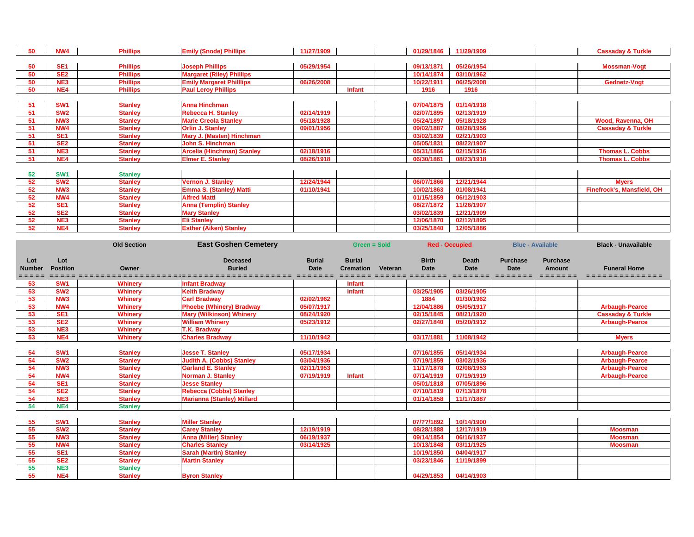| 50 | <b>NW4</b>      | <b>Phillips</b> | <b>Emily (Snode) Phillips</b>     | 11/27/1909 |               | 01/29/1846 | 11/29/1909 | <b>Cassaday &amp; Turkle</b>      |
|----|-----------------|-----------------|-----------------------------------|------------|---------------|------------|------------|-----------------------------------|
|    |                 |                 |                                   |            |               |            |            |                                   |
| 50 | <b>SE1</b>      | <b>Phillips</b> | <b>Joseph Phillips</b>            | 05/29/1954 |               | 09/13/1871 | 05/26/1954 | <b>Mossman-Vogt</b>               |
| 50 | SE <sub>2</sub> | <b>Phillips</b> | <b>Margaret (Riley) Phillips</b>  |            |               | 10/14/1874 | 03/10/1962 |                                   |
| 50 | NE3             | <b>Phillips</b> | <b>Emily Margaret Philllips</b>   | 06/26/2008 |               | 10/22/1911 | 06/25/2008 | Gednetz-Vogt                      |
| 50 | NE4             | <b>Phillips</b> | <b>Paul Leroy Phillips</b>        |            | <b>Infant</b> | 1916       | 1916       |                                   |
|    |                 |                 |                                   |            |               |            |            |                                   |
| 51 | <b>SW1</b>      | <b>Stanley</b>  | <b>Anna Hinchman</b>              |            |               | 07/04/1875 | 01/14/1918 |                                   |
| 51 | SW <sub>2</sub> | <b>Stanley</b>  | <b>Rebecca H. Stanley</b>         | 02/14/1919 |               | 02/07/1895 | 02/13/1919 |                                   |
| 51 | NW <sub>3</sub> | <b>Stanley</b>  | <b>Marie Creola Stanley</b>       | 05/18/1928 |               | 05/24/1897 | 05/18/1928 | <b>Wood, Ravenna, OH</b>          |
| 51 | NW4             | <b>Stanley</b>  | <b>Orlin J. Stanley</b>           | 09/01/1956 |               | 09/02/1887 | 08/28/1956 | <b>Cassaday &amp; Turkle</b>      |
| 51 | <b>SE1</b>      | <b>Stanley</b>  | Mary J. (Masten) Hinchman         |            |               | 03/02/1839 | 02/21/1903 |                                   |
| 51 | SE <sub>2</sub> | <b>Stanley</b>  | <b>John S. Hinchman</b>           |            |               | 05/05/1831 | 08/22/1907 |                                   |
| 51 | NE <sub>3</sub> | <b>Stanley</b>  | <b>Arcelia (Hinchman) Stanley</b> | 02/18/1916 |               | 05/31/1866 | 02/15/1916 | <b>Thomas L. Cobbs</b>            |
| 51 | NE4             | <b>Stanley</b>  | <b>Elmer E. Stanley</b>           | 08/26/1918 |               | 06/30/1861 | 08/23/1918 | <b>Thomas L. Cobbs</b>            |
|    |                 |                 |                                   |            |               |            |            |                                   |
| 52 | SW <sub>1</sub> | <b>Stanley</b>  |                                   |            |               |            |            |                                   |
| 52 | <b>SW2</b>      | <b>Stanley</b>  | <b>Vernon J. Stanley</b>          | 12/24/1944 |               | 06/07/1866 | 12/21/1944 | <b>Myers</b>                      |
| 52 | NW <sub>3</sub> | <b>Stanley</b>  | <b>Emma S. (Stanley) Matti</b>    | 01/10/1941 |               | 10/02/1863 | 01/08/1941 | <b>Finefrock's, Mansfield, OH</b> |
| 52 | <b>NW4</b>      | <b>Stanley</b>  | <b>Alfred Matti</b>               |            |               | 01/15/1859 | 06/12/1903 |                                   |
| 52 | SE <sub>1</sub> | <b>Stanley</b>  | <b>Anna (Templin) Stanley</b>     |            |               | 08/27/1872 | 11/26/1907 |                                   |
| 52 | SE <sub>2</sub> | <b>Stanley</b>  | <b>Mary Stanley</b>               |            |               | 03/02/1839 | 12/21/1909 |                                   |
| 52 | NE3             | <b>Stanley</b>  | <b>Eli Stanley</b>                |            |               | 12/06/1870 | 02/12/1895 |                                   |
| 52 | NE4             | <b>Stanley</b>  | <b>Esther (Aiken) Stanley</b>     |            |               | 03/25/1840 | 12/05/1886 |                                   |

|                                   |                        | <b>Old Section</b> | <b>East Goshen Cemetery</b>                                                                                                     |                              | <b>Green = Sold</b>               |         |                             | <b>Red - Occupied</b>       | <b>Blue - Available</b>        |                                                   | <b>Black - Unavailable</b>                      |
|-----------------------------------|------------------------|--------------------|---------------------------------------------------------------------------------------------------------------------------------|------------------------------|-----------------------------------|---------|-----------------------------|-----------------------------|--------------------------------|---------------------------------------------------|-------------------------------------------------|
| Lot<br><b>Number</b><br>=-=-=-=-= | Lot<br><b>Position</b> | Owner              | <b>Deceased</b><br><b>Buried</b><br>sebes de concerto de concerto en concerto de concerto de concerto de concerto de concerto d | <b>Burial</b><br><b>Date</b> | <b>Burial</b><br><b>Cremation</b> | Veteran | <b>Birth</b><br><b>Date</b> | <b>Death</b><br><b>Date</b> | <b>Purchase</b><br><b>Date</b> | <b>Purchase</b><br><b>Amount</b><br>=-=-=-=-=-=-= | <b>Funeral Home</b><br>======================== |
| 53                                | <b>SW1</b>             | <b>Whinery</b>     | <b>Infant Bradway</b>                                                                                                           |                              | <b>Infant</b>                     |         |                             |                             |                                |                                                   |                                                 |
| 53                                | <b>SW2</b>             | <b>Whinery</b>     | <b>Keith Bradway</b>                                                                                                            |                              | <b>Infant</b>                     |         | 03/25/1905                  | 03/26/1905                  |                                |                                                   |                                                 |
| 53                                | <b>NW3</b>             | <b>Whinery</b>     | <b>Carl Bradway</b>                                                                                                             | 02/02/1962                   |                                   |         | 1884                        | 01/30/1962                  |                                |                                                   |                                                 |
| 53                                | NW4                    | <b>Whinery</b>     | <b>Phoebe (Whinery) Bradway</b>                                                                                                 | 05/07/1917                   |                                   |         | 12/04/1886                  | 05/05/1917                  |                                |                                                   | <b>Arbaugh-Pearce</b>                           |
| 53                                | SE <sub>1</sub>        | <b>Whinery</b>     | <b>Mary (Wilkinson) Whinery</b>                                                                                                 | 08/24/1920                   |                                   |         | 02/15/1845                  | 08/21/1920                  |                                |                                                   | <b>Cassaday &amp; Turkle</b>                    |
| 53                                | SE <sub>2</sub>        | <b>Whinery</b>     | <b>William Whinery</b>                                                                                                          | 05/23/1912                   |                                   |         | 02/27/1840                  | 05/20/1912                  |                                |                                                   | <b>Arbaugh-Pearce</b>                           |
| 53                                | NE3                    | <b>Whinery</b>     | <b>T.K. Bradway</b>                                                                                                             |                              |                                   |         |                             |                             |                                |                                                   |                                                 |
| 53                                | NE4                    | <b>Whinery</b>     | <b>Charles Bradway</b>                                                                                                          | 11/10/1942                   |                                   |         | 03/17/1881                  | 11/08/1942                  |                                |                                                   | <b>Myers</b>                                    |
|                                   |                        |                    |                                                                                                                                 |                              |                                   |         |                             |                             |                                |                                                   |                                                 |
| 54                                | <b>SW1</b>             | <b>Stanley</b>     | <b>Jesse T. Stanley</b>                                                                                                         | 05/17/1934                   |                                   |         | 07/16/1855                  | 05/14/1934                  |                                |                                                   | <b>Arbaugh-Pearce</b>                           |
| 54                                | <b>SW2</b>             | <b>Stanley</b>     | <b>Judith A. (Cobbs) Stanley</b>                                                                                                | 03/04/1936                   |                                   |         | 07/19/1859                  | 03/02/1936                  |                                |                                                   | <b>Arbaugh-Pearce</b>                           |
| 54                                | <b>NW3</b>             | <b>Stanley</b>     | <b>Garland E. Stanley</b>                                                                                                       | 02/11/1953                   |                                   |         | 11/17/1878                  | 02/08/1953                  |                                |                                                   | <b>Arbaugh-Pearce</b>                           |
| 54                                | <b>NW4</b>             | <b>Stanley</b>     | <b>Norman J. Stanley</b>                                                                                                        | 07/19/1919                   | <b>Infant</b>                     |         | 07/14/1919                  | 07/19/1919                  |                                |                                                   | <b>Arbaugh-Pearce</b>                           |
| 54                                | SE <sub>1</sub>        | <b>Stanley</b>     | <b>Jesse Stanley</b>                                                                                                            |                              |                                   |         | 05/01/1818                  | 07/05/1896                  |                                |                                                   |                                                 |
| 54                                | SE <sub>2</sub>        | <b>Stanley</b>     | <b>Rebecca (Cobbs) Stanley</b>                                                                                                  |                              |                                   |         | 07/10/1819                  | 07/13/1878                  |                                |                                                   |                                                 |
| 54                                | NE3                    | <b>Stanley</b>     | <b>Marianna (Stanley) Millard</b>                                                                                               |                              |                                   |         | 01/14/1858                  | 11/17/1887                  |                                |                                                   |                                                 |
| 54                                | NE4                    | <b>Stanley</b>     |                                                                                                                                 |                              |                                   |         |                             |                             |                                |                                                   |                                                 |
|                                   |                        |                    |                                                                                                                                 |                              |                                   |         |                             |                             |                                |                                                   |                                                 |
| 55                                | <b>SW1</b>             | <b>Stanley</b>     | <b>Miller Stanley</b>                                                                                                           |                              |                                   |         | 07/??/1892                  | 10/14/1900                  |                                |                                                   |                                                 |
| 55                                | <b>SW2</b>             | <b>Stanley</b>     | <b>Carey Stanley</b>                                                                                                            | 12/19/1919                   |                                   |         | 08/28/1888                  | 12/17/1919                  |                                |                                                   | <b>Moosman</b>                                  |
| 55                                | <b>NW3</b>             | <b>Stanley</b>     | <b>Anna (Miller) Stanley</b>                                                                                                    | 06/19/1937                   |                                   |         | 09/14/1854                  | 06/16/1937                  |                                |                                                   | <b>Moosman</b>                                  |
| 55                                | NW4                    | <b>Stanley</b>     | <b>Charles Stanley</b>                                                                                                          | 03/14/1925                   |                                   |         | 10/13/1848                  | 03/11/1925                  |                                |                                                   | <b>Moosman</b>                                  |
| 55                                | SE <sub>1</sub>        | <b>Stanley</b>     | <b>Sarah (Martin) Stanley</b>                                                                                                   |                              |                                   |         | 10/19/1850                  | 04/04/1917                  |                                |                                                   |                                                 |
| 55                                | SE <sub>2</sub>        | <b>Stanley</b>     | <b>Martin Stanley</b>                                                                                                           |                              |                                   |         | 03/23/1846                  | 11/19/1899                  |                                |                                                   |                                                 |
| 55                                | NE3                    | <b>Stanley</b>     |                                                                                                                                 |                              |                                   |         |                             |                             |                                |                                                   |                                                 |
| 55                                | NE4                    | <b>Stanley</b>     | <b>Byron Stanley</b>                                                                                                            |                              |                                   |         | 04/29/1853                  | 04/14/1903                  |                                |                                                   |                                                 |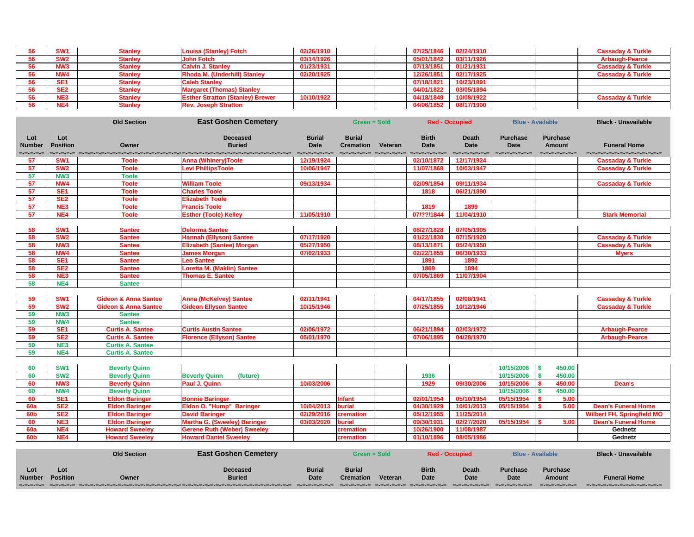| SW <sub>1</sub> | <b>Stanley</b> | Louisa (Stanley) Fotch                  | 02/26/1910 |  | 07/25/1846 | 02/24/1910 |  | <b>Cassaday &amp; Turkle</b> |
|-----------------|----------------|-----------------------------------------|------------|--|------------|------------|--|------------------------------|
| SW <sub>2</sub> | <b>Stanley</b> | <b>John Fotch</b>                       | 03/14/1926 |  | 05/01/1842 | 03/11/1926 |  | <b>Arbaugh-Pearce</b>        |
| NW <sub>3</sub> | Stanley        | <b>Calvin J. Stanley</b>                | 01/23/1931 |  | 07/13/1851 | 01/21/1931 |  | <b>Cassaday &amp; Turkle</b> |
| NW4             | <b>Stanley</b> | <b>Rhoda M. (Underhill) Stanley</b>     | 02/20/1925 |  | 12/26/1851 | 02/17/1925 |  | <b>Cassaday &amp; Turkle</b> |
| SE <sub>1</sub> | <b>Stanley</b> | <b>Caleb Stanley</b>                    |            |  | 07/18/1821 | 10/23/1891 |  |                              |
| SE <sub>2</sub> | <b>Stanley</b> | <b>Margaret (Thomas) Stanley</b>        |            |  | 04/01/1822 | 03/05/1894 |  |                              |
| NE <sub>3</sub> | <b>Stanley</b> | <b>Esther Stratton (Stanley) Brewer</b> | 10/10/1922 |  | 04/18/1849 | 10/08/1922 |  | <b>Cassaday &amp; Turkle</b> |
| NE4             | <b>Stanley</b> | <b>Rev. Joseph Stratton</b>             |            |  | 04/06/1852 | 08/17/1900 |  |                              |

|                                   |                        | <b>Old Section</b>                           | <b>East Goshen Cemetery</b>                       |                                             | <b>Green = Sold</b>               |         |                                                                     | <b>Red - Occupied</b>                        |                                                 | <b>Blue - Available</b>                           | <b>Black - Unavailable</b>                          |
|-----------------------------------|------------------------|----------------------------------------------|---------------------------------------------------|---------------------------------------------|-----------------------------------|---------|---------------------------------------------------------------------|----------------------------------------------|-------------------------------------------------|---------------------------------------------------|-----------------------------------------------------|
| Lot<br><b>Number</b><br>=-=-=-=-= | Lot<br><b>Position</b> | Owner                                        | <b>Deceased</b><br><b>Buried</b>                  | <b>Burial</b><br><b>Date</b><br>----------- | <b>Burial</b><br><b>Cremation</b> | Veteran | <b>Birth</b><br><b>Date</b><br>contractors are shown and socialized | <b>Death</b><br><b>Date</b><br>=-=-=-=-=-=-= | <b>Purchase</b><br><b>Date</b><br>=-=-=-=-=-=-= | <b>Purchase</b><br><b>Amount</b><br>=-=-=-=-=-=-= | <b>Funeral Home</b><br>d-d-d-d-d-d-d-d-d-d-d-d-d-d- |
| 57                                | SW <sub>1</sub>        | <b>Toole</b>                                 | <b>Anna (Whinery)Toole</b>                        | 12/19/1924                                  |                                   |         | 02/10/1872                                                          | 12/17/1924                                   |                                                 |                                                   | <b>Cassaday &amp; Turkle</b>                        |
| 57                                | SW <sub>2</sub>        | <b>Toole</b>                                 | <b>Levi PhillipsToole</b>                         | 10/06/1947                                  |                                   |         | 11/07/1868                                                          | 10/03/1947                                   |                                                 |                                                   | <b>Cassaday &amp; Turkle</b>                        |
| 57                                | NW <sub>3</sub>        | <b>Toole</b>                                 |                                                   |                                             |                                   |         |                                                                     |                                              |                                                 |                                                   |                                                     |
| 57                                | NW4                    | <b>Toole</b>                                 | <b>William Toole</b>                              | 09/13/1934                                  |                                   |         | 02/09/1854                                                          | 09/11/1934                                   |                                                 |                                                   | <b>Cassaday &amp; Turkle</b>                        |
| 57                                | SE <sub>1</sub>        | <b>Toole</b>                                 | <b>Charles Toole</b>                              |                                             |                                   |         | 1818                                                                | 06/21/1890                                   |                                                 |                                                   |                                                     |
| 57                                | SE <sub>2</sub>        | <b>Toole</b>                                 | <b>Elizabeth Toole</b>                            |                                             |                                   |         |                                                                     |                                              |                                                 |                                                   |                                                     |
| 57                                | NE <sub>3</sub>        | <b>Toole</b>                                 | <b>Francis Toole</b>                              |                                             |                                   |         | 1819                                                                | 1899                                         |                                                 |                                                   |                                                     |
| 57                                | NE4                    | <b>Toole</b>                                 | <b>Esther (Toole) Kelley</b>                      | 11/05/1910                                  |                                   |         | 07/??/1844                                                          | 11/04/1910                                   |                                                 |                                                   | <b>Stark Memorial</b>                               |
| 58                                | SW <sub>1</sub>        | <b>Santee</b>                                | <b>Delorma Santee</b>                             |                                             |                                   |         | 08/27/1828                                                          | 07/05/1905                                   |                                                 |                                                   |                                                     |
| 58                                | SW <sub>2</sub>        | <b>Santee</b>                                | <b>Hannah (Ellyson) Santee</b>                    | 07/17/1920                                  |                                   |         | 01/22/1830                                                          | 07/15/1920                                   |                                                 |                                                   | <b>Cassaday &amp; Turkle</b>                        |
| 58                                | NW <sub>3</sub>        | <b>Santee</b>                                | <b>Elizabeth (Santee) Morgan</b>                  | 05/27/1950                                  |                                   |         | 08/13/1871                                                          | 05/24/1950                                   |                                                 |                                                   | <b>Cassaday &amp; Turkle</b>                        |
| 58                                | NW4                    | <b>Santee</b>                                | <b>James Morgan</b>                               | 07/02/1933                                  |                                   |         | 02/22/1855                                                          | 06/30/1933                                   |                                                 |                                                   | <b>Myers</b>                                        |
| 58                                | SE <sub>1</sub>        | <b>Santee</b>                                | <b>Leo Santee</b>                                 |                                             |                                   |         | 1891                                                                | 1892                                         |                                                 |                                                   |                                                     |
| 58                                | SE <sub>2</sub>        | <b>Santee</b>                                | Loretta M. (Maklin) Santee                        |                                             |                                   |         | 1869                                                                | 1894                                         |                                                 |                                                   |                                                     |
| 58                                | NE <sub>3</sub>        | <b>Santee</b>                                | <b>Thomas E. Santee</b>                           |                                             |                                   |         | 07/05/1869                                                          | 11/07/1904                                   |                                                 |                                                   |                                                     |
| 58                                | NE4                    | <b>Santee</b>                                |                                                   |                                             |                                   |         |                                                                     |                                              |                                                 |                                                   |                                                     |
|                                   |                        |                                              |                                                   |                                             |                                   |         |                                                                     |                                              |                                                 |                                                   |                                                     |
| 59                                | SW <sub>1</sub>        | <b>Gideon &amp; Anna Santee</b>              | <b>Anna (McKelvey) Santee</b>                     | 02/11/1941                                  |                                   |         | 04/17/1855                                                          | 02/08/1941                                   |                                                 |                                                   | <b>Cassaday &amp; Turkle</b>                        |
| 59                                | SW <sub>2</sub>        | <b>Gideon &amp; Anna Santee</b>              | <b>Gideon Ellyson Santee</b>                      | 10/15/1946                                  |                                   |         | 07/25/1855                                                          | 10/12/1946                                   |                                                 |                                                   | <b>Cassaday &amp; Turkle</b>                        |
| 59                                | NW <sub>3</sub>        | <b>Santee</b>                                |                                                   |                                             |                                   |         |                                                                     |                                              |                                                 |                                                   |                                                     |
| 59                                | <b>NW4</b>             | <b>Santee</b>                                |                                                   |                                             |                                   |         |                                                                     |                                              |                                                 |                                                   |                                                     |
| 59                                | SE <sub>1</sub>        | <b>Curtis A. Santee</b>                      | <b>Curtis Austin Santee</b>                       | 02/06/1972                                  |                                   |         | 06/21/1894                                                          | 02/03/1972                                   |                                                 |                                                   | <b>Arbaugh-Pearce</b>                               |
| 59                                | SE <sub>2</sub>        | <b>Curtis A. Santee</b>                      | <b>Florence (Ellyson) Santee</b>                  | 05/01/1970                                  |                                   |         | 07/06/1895                                                          | 04/28/1970                                   |                                                 |                                                   | <b>Arbaugh-Pearce</b>                               |
| 59                                | NE3                    | <b>Curtis A. Santee</b>                      |                                                   |                                             |                                   |         |                                                                     |                                              |                                                 |                                                   |                                                     |
| 59                                | NE4                    | <b>Curtis A. Santee</b>                      |                                                   |                                             |                                   |         |                                                                     |                                              |                                                 |                                                   |                                                     |
|                                   | SW <sub>1</sub>        |                                              |                                                   |                                             |                                   |         |                                                                     |                                              | 10/15/2006 \$                                   | 450.00                                            |                                                     |
| 60                                | <b>SW2</b>             | <b>Beverly Quinn</b>                         |                                                   |                                             |                                   |         |                                                                     |                                              |                                                 | 450.00                                            |                                                     |
| 60<br>60                          | NW <sub>3</sub>        | <b>Beverly Quinn</b><br><b>Beverly Quinn</b> | <b>Beverly Quinn</b><br>(future)<br>Paul J. Quinn | 10/03/2006                                  |                                   |         | 1936<br>1929                                                        | 09/30/2006                                   | 10/15/2006<br>10/15/2006                        | 450.00                                            | Dean's                                              |
| 60                                | <b>NW4</b>             | <b>Beverly Quinn</b>                         |                                                   |                                             |                                   |         |                                                                     |                                              | 10/15/2006                                      | 450.00                                            |                                                     |
| 60                                | SE <sub>1</sub>        | <b>Eldon Baringer</b>                        | <b>Bonnie Baringer</b>                            |                                             | <b>Infant</b>                     |         | 02/01/1954                                                          | 05/10/1954                                   | 05/15/1954                                      | 5.00                                              |                                                     |
| <b>60a</b>                        | SE <sub>2</sub>        | <b>Eldon Baringer</b>                        | <b>Eldon O. "Hump" Baringer</b>                   | 10/04/2013                                  | <b>burial</b>                     |         | 04/30/1929                                                          | 10/01/2013                                   | 05/15/1954                                      | 5.00                                              | <b>Dean's Funeral Home</b>                          |
| <b>60b</b>                        | SE <sub>2</sub>        | <b>Eldon Baringer</b>                        | <b>David Baringer</b>                             | 02/29/2016                                  | cremation                         |         | 05/12/1955                                                          | 11/25/2014                                   |                                                 |                                                   | <b>Wilbert FH, Springfield MO</b>                   |
| 60                                | NE3                    | <b>Eldon Baringer</b>                        | <b>Martha G. (Sweeley) Baringer</b>               | 03/03/2020                                  | <b>burial</b>                     |         | 09/30/1931                                                          | 02/27/2020                                   | 05/15/1954                                      | 5.00                                              | <b>Dean's Funeral Home</b>                          |
| <b>60a</b>                        | NE4                    | <b>Howard Sweeley</b>                        | <b>Gerene Ruth (Weber) Sweeley</b>                |                                             | cremation                         |         | 10/26/1900                                                          | 11/08/1987                                   |                                                 |                                                   | Gednetz                                             |
| <b>60b</b>                        | NE4                    | <b>Howard Sweeley</b>                        | <b>Howard Daniel Sweeley</b>                      |                                             | cremation                         |         | 01/10/1896                                                          | 08/05/1986                                   |                                                 |                                                   | Gednetz                                             |
|                                   |                        |                                              |                                                   |                                             |                                   |         |                                                                     |                                              |                                                 |                                                   |                                                     |
|                                   |                        | <b>Old Section</b>                           | <b>East Goshen Cemetery</b>                       |                                             | <b>Green = Sold</b>               |         |                                                                     | <b>Red - Occupied</b>                        |                                                 | <b>Blue - Available</b>                           | <b>Black - Unavailable</b>                          |

| Lot           | Lot      |       | <b>Deceased</b> | <b>Burial</b> | <b>Burial</b>    |         | <b>Birth</b> | <b>Death</b> | <b>Purchase</b> | <b>Purchase</b> |                                 |
|---------------|----------|-------|-----------------|---------------|------------------|---------|--------------|--------------|-----------------|-----------------|---------------------------------|
| <b>Number</b> | Position | Owner | <b>Buried</b>   | <b>Date</b>   | <b>Cremation</b> | Veteran | <b>Date</b>  | <b>Date</b>  | <b>Date</b>     | <b>Amount</b>   | <b>Funeral Home</b>             |
|               |          |       |                 |               |                  |         |              |              |                 | ------------    | ▁▆▅▆▅▆▅▅▅▅▅▅▅▅▅▅▅▅▅▅▅▅▅▅▅▅▅▅▅▅▅ |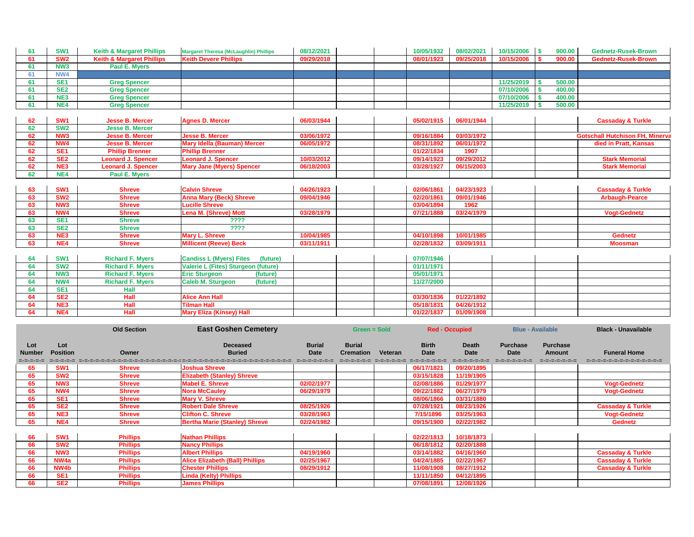| 61 | SW <sub>1</sub> | <b>Keith &amp; Margaret Phillips</b> | <b>Margaret Theresa (McLaughlin) Phillips</b> | 08/12/2021 | 10/05/1932 | 08/02/2021 | 10/15/2006 | 900.00 | <b>Gednetz-Rusek-Brown</b>             |
|----|-----------------|--------------------------------------|-----------------------------------------------|------------|------------|------------|------------|--------|----------------------------------------|
| 61 | SW <sub>2</sub> | <b>Keith &amp; Margaret Phillips</b> | <b>Keith Devere Phillips</b>                  | 09/29/2018 | 08/01/1923 | 09/25/2018 | 10/15/2006 | 900.00 | <b>Gednetz-Rusek-Brown</b>             |
| 61 | NW <sub>3</sub> | Paul E. Myers                        |                                               |            |            |            |            |        |                                        |
| 61 | NW4             |                                      |                                               |            |            |            |            |        |                                        |
| 61 | SE <sub>1</sub> | <b>Greg Spencer</b>                  |                                               |            |            |            | 11/25/2019 | 500.00 |                                        |
| 61 | SE <sub>2</sub> | <b>Greg Spencer</b>                  |                                               |            |            |            | 07/10/2006 | 400.00 |                                        |
| 61 | NE3             | <b>Greg Spencer</b>                  |                                               |            |            |            | 07/10/2006 | 400.00 |                                        |
| 61 | NE4             | <b>Greg Spencer</b>                  |                                               |            |            |            | 11/25/2019 | 500.00 |                                        |
|    |                 |                                      |                                               |            |            |            |            |        |                                        |
| 62 | SW <sub>1</sub> | <b>Jesse B. Mercer</b>               | <b>Agnes D. Mercer</b>                        | 06/03/1944 | 05/02/1915 | 06/01/1944 |            |        | <b>Cassaday &amp; Turkle</b>           |
| 62 | SW <sub>2</sub> | <b>Jesse B. Mercer</b>               |                                               |            |            |            |            |        |                                        |
| 62 | NW <sub>3</sub> | <b>Jesse B. Mercer</b>               | <b>Jesse B. Mercer</b>                        | 03/06/1972 | 09/16/1884 | 03/03/1972 |            |        | <b>Gotschall Hutchison FH, Minerva</b> |
| 62 | <b>NW4</b>      | <b>Jesse B. Mercer</b>               | <b>Mary Idella (Bauman) Mercer</b>            | 06/05/1972 | 08/31/1892 | 06/01/1972 |            |        | died in Pratt, Kansas                  |
| 62 | SE <sub>1</sub> | <b>Phillip Brenner</b>               | <b>Phillip Brenner</b>                        |            | 01/22/1834 | 1907       |            |        |                                        |
| 62 | SE <sub>2</sub> | <b>Leonard J. Spencer</b>            | <b>Leonard J. Spencer</b>                     | 10/03/2012 | 09/14/1923 | 09/29/2012 |            |        | <b>Stark Memorial</b>                  |
| 62 | NE <sub>3</sub> | <b>Leonard J. Spencer</b>            | <b>Mary Jane (Myers) Spencer</b>              | 06/18/2003 | 03/28/1927 | 06/15/2003 |            |        | <b>Stark Memorial</b>                  |
| 62 | NE4             | <b>Paul E. Myers</b>                 |                                               |            |            |            |            |        |                                        |
|    |                 |                                      |                                               |            |            |            |            |        |                                        |
| 63 | SW <sub>1</sub> | <b>Shreve</b>                        | <b>Calvin Shreve</b>                          | 04/26/1923 | 02/06/1861 | 04/23/1923 |            |        | <b>Cassaday &amp; Turkle</b>           |
| 63 | SW <sub>2</sub> | <b>Shreve</b>                        | <b>Anna Mary (Beck) Shreve</b>                | 09/04/1946 | 02/20/1861 | 09/01/1946 |            |        | <b>Arbaugh-Pearce</b>                  |
| 63 | NW <sub>3</sub> | <b>Shreve</b>                        | <b>Lucille Shreve</b>                         |            | 03/04/1894 | 1962       |            |        |                                        |
| 63 | NW4             | <b>Shreve</b>                        | <b>Lena M. (Shreve) Mott</b>                  | 03/28/1979 | 07/21/1888 | 03/24/1979 |            |        | <b>Vogt-Gednetz</b>                    |
| 63 | SE <sub>1</sub> | <b>Shreve</b>                        | ????                                          |            |            |            |            |        |                                        |
| 63 | SE <sub>2</sub> | <b>Shreve</b>                        | ????                                          |            |            |            |            |        |                                        |
| 63 | NE3             | <b>Shreve</b>                        | <b>Mary L. Shreve</b>                         | 10/04/1985 | 04/10/1898 | 10/01/1985 |            |        | <b>Gednetz</b>                         |
| 63 | NE4             | <b>Shreve</b>                        | <b>Millicent (Reeve) Beck</b>                 | 03/11/1911 | 02/28/1832 | 03/09/1911 |            |        | <b>Moosman</b>                         |
|    |                 |                                      |                                               |            |            |            |            |        |                                        |
| 64 | SW <sub>1</sub> | <b>Richard F. Myers</b>              | <b>Candiss L (Myers) Fites</b><br>(future)    |            | 07/07/1946 |            |            |        |                                        |
| 64 | SW <sub>2</sub> | <b>Richard F. Myers</b>              | Valerie L (Fites) Sturgeon (future)           |            | 01/11/1971 |            |            |        |                                        |
| 64 | NW <sub>3</sub> | <b>Richard F. Myers</b>              | <b>Eric Sturgeon</b><br>(future)              |            | 05/01/1971 |            |            |        |                                        |
| 64 | NW4             | <b>Richard F. Myers</b>              | <b>Caleb M. Sturgeon</b><br>(future)          |            | 11/27/2000 |            |            |        |                                        |
| 64 | <b>SE1</b>      | <b>Hall</b>                          |                                               |            |            |            |            |        |                                        |
| 64 | SE <sub>2</sub> | Hall                                 | <b>Alice Ann Hall</b>                         |            | 03/30/1836 | 01/22/1892 |            |        |                                        |
| 64 | NE <sub>3</sub> | <b>Hall</b>                          | <b>Tilman Hall</b>                            |            | 05/18/1831 | 04/26/1912 |            |        |                                        |
| 64 | NE4             | <b>Hall</b>                          | <b>Mary Eliza (Kinsey) Hall</b>               |            | 01/22/1837 | 01/09/1908 |            |        |                                        |

| 04 | <b>SW1</b>      | <b>Richard F. Myers</b> | <b>Candiss L (Myers) Fites</b><br>(future) |  | 07/07/1946 |            |  |  |
|----|-----------------|-------------------------|--------------------------------------------|--|------------|------------|--|--|
|    | SW <sub>2</sub> | <b>Richard F. Myers</b> | Valerie L (Fites) Sturgeon (future)        |  | 01/11/1971 |            |  |  |
|    | NW <sub>3</sub> | <b>Richard F. Myers</b> | <b>Eric Sturgeon</b><br>(future)           |  | 05/01/1971 |            |  |  |
|    | NW4             | <b>Richard F. Myers</b> | <b>Caleb M. Sturgeon</b><br>(future)       |  | 11/27/2000 |            |  |  |
|    | SE <sub>1</sub> | Hall                    |                                            |  |            |            |  |  |
|    | SE <sub>2</sub> | <b>Hall</b>             | <b>Alice Ann Hall</b>                      |  | 03/30/1836 | 01/22/1892 |  |  |
|    | NE <sub>3</sub> | <b>Hall</b>             | <b>Tilman Hall</b>                         |  | 05/18/1831 | 04/26/1912 |  |  |
|    | NE <sub>4</sub> | <b>Hall</b>             | <b>Mary Eliza (Kinsey) Hall</b>            |  | 01/22/1837 | 01/09/1908 |  |  |
|    |                 |                         |                                            |  |            |            |  |  |

|                                   |                                    | <b>Old Section</b>                 | <b>East Goshen Cemetery</b>                                                                                                                       |                                              | Green = Sold                      |         |                                                      | <b>Red - Occupied</b>                        |                                                | <b>Blue - Available</b>                          | <b>Black - Unavailable</b>                        |
|-----------------------------------|------------------------------------|------------------------------------|---------------------------------------------------------------------------------------------------------------------------------------------------|----------------------------------------------|-----------------------------------|---------|------------------------------------------------------|----------------------------------------------|------------------------------------------------|--------------------------------------------------|---------------------------------------------------|
| Lot<br><b>Number</b><br>=-=-=-=-= | Lot<br><b>Position</b>             | <b>Owner</b>                       | <b>Deceased</b><br><b>Buried</b><br>zatorzator zazadatzat zatuen zatuen zatuen zatuen zatuen zatuen zatuen zatuen zatuen zatuen zatuen zatuen zat | <b>Burial</b><br><b>Date</b><br>------------ | <b>Burial</b><br><b>Cremation</b> | Veteran | <b>Birth</b><br>Date<br>concepted concepts concepted | <b>Death</b><br><b>Date</b><br>=-=-=-=-=-=-= | <b>Purchase</b><br><b>Date</b><br>------------ | <b>Purchase</b><br><b>Amount</b><br>=-=-=-=-=-=- | <b>Funeral Home</b><br>=-=-=-=-=-=-=-=-=-=-=-=-=- |
| 65                                | SW <sub>1</sub>                    | <b>Shreve</b>                      | <b>Joshua Shreve</b>                                                                                                                              |                                              |                                   |         | 06/17/1821                                           | 09/20/1895                                   |                                                |                                                  |                                                   |
| 65                                | <b>SW2</b>                         | <b>Shreve</b>                      | <b>Elizabeth (Stanley) Shreve</b>                                                                                                                 |                                              |                                   |         | 03/15/1828                                           | 11/19/1905                                   |                                                |                                                  |                                                   |
| 65                                | NW <sub>3</sub>                    | <b>Shreve</b>                      | <b>Mabel E. Shreve</b>                                                                                                                            | 02/02/1977                                   |                                   |         | 02/08/1886                                           | 01/29/1977                                   |                                                |                                                  | <b>Vogt-Gednetz</b>                               |
| 65                                | <b>NW4</b>                         | <b>Shreve</b>                      | <b>Nora McCauley</b>                                                                                                                              | 06/29/1979                                   |                                   |         | 09/22/1882                                           | 06/27/1979                                   |                                                |                                                  | <b>Vogt-Gednetz</b>                               |
| 65                                | SE <sub>1</sub>                    | <b>Shreve</b>                      | <b>Mary V. Shreve</b>                                                                                                                             |                                              |                                   |         | 08/06/1866                                           | 03/31/1880                                   |                                                |                                                  |                                                   |
| 65                                | SE <sub>2</sub>                    | <b>Shreve</b>                      | <b>Robert Dale Shreve</b>                                                                                                                         | 08/25/1926                                   |                                   |         | 07/28/1921                                           | 08/23/1926                                   |                                                |                                                  | <b>Cassaday &amp; Turkle</b>                      |
| 65                                | NE <sub>3</sub>                    | <b>Shreve</b>                      | <b>Clifton C. Shreve</b>                                                                                                                          | 03/28/1963                                   |                                   |         | 7/15/1896                                            | 03/25/1963                                   |                                                |                                                  | <b>Vogt-Gednetz</b>                               |
| 65                                | NE4                                | <b>Shreve</b>                      | <b>Bertha Marie (Stanley) Shreve</b>                                                                                                              | 02/24/1982                                   |                                   |         | 09/15/1900                                           | 02/22/1982                                   |                                                |                                                  | <b>Gednetz</b>                                    |
| 66<br>66                          | SW <sub>1</sub><br>SW <sub>2</sub> | <b>Phillips</b><br><b>Phillips</b> | <b>Nathan Phillips</b><br><b>Nancy Phillips</b>                                                                                                   |                                              |                                   |         | 02/22/1813<br>06/18/1812                             | 10/18/1873<br>02/20/1888                     |                                                |                                                  |                                                   |
| 66                                | NW <sub>3</sub>                    | <b>Phillips</b>                    | <b>Albert Phillips</b>                                                                                                                            | 04/19/1960                                   |                                   |         | 03/14/1882                                           | 04/16/1960                                   |                                                |                                                  | <b>Cassaday &amp; Turkle</b>                      |
| 66                                | NW <sub>4a</sub>                   | <b>Phillips</b>                    | <b>Alice Elizabeth (Ball) Phillips</b>                                                                                                            | 02/25/1967                                   |                                   |         | 04/24/1885                                           | 02/22/1967                                   |                                                |                                                  | <b>Cassaday &amp; Turkle</b>                      |
| 66                                | NW4b                               | <b>Phillips</b>                    | <b>Chester Phillips</b>                                                                                                                           | 08/29/1912                                   |                                   |         | 11/08/1908                                           | 08/27/1912                                   |                                                |                                                  | <b>Cassaday &amp; Turkle</b>                      |
| 66                                | <b>SE1</b>                         | <b>Phillips</b>                    | <b>Linda (Kelty) Phillips</b>                                                                                                                     |                                              |                                   |         | 11/11/1850                                           | 04/12/1895                                   |                                                |                                                  |                                                   |
| 66                                | SE <sub>2</sub>                    | <b>Phillips</b>                    | <b>James Phillips</b>                                                                                                                             |                                              |                                   |         | 07/08/1891                                           | 12/08/1926                                   |                                                |                                                  |                                                   |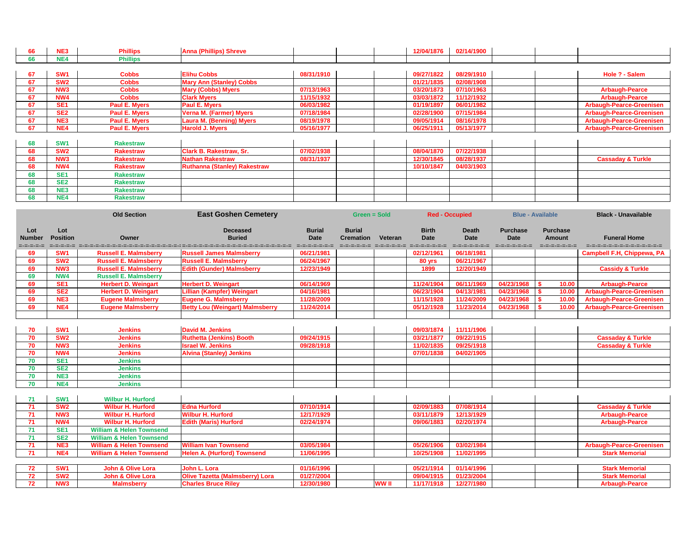| 66 | NE3             | <b>Phillips</b>      | <b>Anna (Phillips) Shreve</b>   |            | 12/04/1876 | 02/14/1900 |                                 |
|----|-----------------|----------------------|---------------------------------|------------|------------|------------|---------------------------------|
| 66 | NE4             | <b>Phillips</b>      |                                 |            |            |            |                                 |
|    |                 |                      |                                 |            |            |            |                                 |
| 67 | <b>SW1</b>      | <b>Cobbs</b>         | <b>Elihu Cobbs</b>              | 08/31/1910 | 09/27/1822 | 08/29/1910 | Hole ? - Salem                  |
| 67 | SW <sub>2</sub> | <b>Cobbs</b>         | <b>Mary Ann (Stanley) Cobbs</b> |            | 01/21/1835 | 02/08/1908 |                                 |
| 67 | NW <sub>3</sub> | <b>Cobbs</b>         | <b>Mary (Cobbs) Myers</b>       | 07/13/1963 | 03/20/1873 | 07/10/1963 | <b>Arbaugh-Pearce</b>           |
| 67 | NW4             | <b>Cobbs</b>         | <b>Clark Myers</b>              | 11/15/1932 | 03/03/1872 | 11/12/1932 | <b>Arbaugh-Pearce</b>           |
| 67 | SE <sub>1</sub> | Paul E. Myers        | <b>Paul E. Myers</b>            | 06/03/1982 | 01/19/1897 | 06/01/1982 | <b>Arbaugh-Pearce-Greenisen</b> |
| 67 | SE <sub>2</sub> | Paul E. Myers        | <b>Verna M. (Farmer) Myers</b>  | 07/18/1984 | 02/28/1900 | 07/15/1984 | <b>Arbaugh-Pearce-Greenisen</b> |
| 67 | NE <sub>3</sub> | <b>Paul E. Myers</b> | <b>Laura M. (Benning) Myers</b> | 08/19/1978 | 09/05/1914 | 08/16/1978 | <b>Arbaugh-Pearce-Greenisen</b> |
| 67 | NE4             | Paul E. Myers        | <b>Harold J. Myers</b>          | 05/16/1977 | 06/25/1911 | 05/13/1977 | Arbaugh-Pearce-Greenisen        |
|    |                 |                      |                                 |            |            |            |                                 |

| <b>SW</b>       | <b>Rakestraw</b> |                                     |            |  |            |            |  |                              |
|-----------------|------------------|-------------------------------------|------------|--|------------|------------|--|------------------------------|
| SW <sub>2</sub> | <b>Rakestraw</b> | <b>Clark B. Rakestraw, Sr.</b>      | 07/02/1938 |  | 08/04/1870 | 07/22/1938 |  |                              |
| NW <sub>3</sub> | <b>Rakestraw</b> | <b>Nathan Rakestraw</b>             | 08/31/1937 |  | 12/30/1845 | 08/28/1937 |  | <b>Cassaday &amp; Turkle</b> |
| NW4             | <b>Rakestraw</b> | <b>Ruthanna (Stanley) Rakestraw</b> |            |  | 10/10/1847 | 04/03/1903 |  |                              |
| SE <sub>1</sub> | <b>Rakestraw</b> |                                     |            |  |            |            |  |                              |
| SE <sub>2</sub> | <b>Rakestraw</b> |                                     |            |  |            |            |  |                              |
| NE <sub>3</sub> | <b>Rakestraw</b> |                                     |            |  |            |            |  |                              |
| NE4             | <b>Rakestraw</b> |                                     |            |  |            |            |  |                              |

|                                   |                        | <b>Old Section</b>                  | <b>East Goshen Cemetery</b>                                                                                      |                              |                                   | <b>Red - Occupied</b><br>Green = Sold |                                                                |                                              |                                                 | <b>Blue - Available</b>                                     | <b>Black - Unavailable</b>                         |
|-----------------------------------|------------------------|-------------------------------------|------------------------------------------------------------------------------------------------------------------|------------------------------|-----------------------------------|---------------------------------------|----------------------------------------------------------------|----------------------------------------------|-------------------------------------------------|-------------------------------------------------------------|----------------------------------------------------|
| Lot<br><b>Number</b><br>=-=-=-=-= | Lot<br><b>Position</b> | Owner                               | <b>Deceased</b><br><b>Buried</b><br>secos de conceledad de conceledad de conceledad de conceledad de conceledad. | <b>Burial</b><br><b>Date</b> | <b>Burial</b><br><b>Cremation</b> | Veteran                               | <b>Birth</b><br><b>Date</b><br>CHOROSONO CHOROSONO CHOROSONOSO | <b>Death</b><br><b>Date</b><br>=-=-=-=-=-=-= | <b>Purchase</b><br><b>Date</b><br>=-=-=-=-=-=-= | <b>Purchase</b><br><b>Amount</b><br>$= - - - - - - - - - -$ | <b>Funeral Home</b><br>d-d-d-d-d-d-d-d-d-d-d-d-d-d |
| 69                                | SW <sub>1</sub>        | <b>Russell E. Malmsberry</b>        | <b>Russell James Malmsberry</b>                                                                                  | 06/21/1981                   |                                   |                                       | 02/12/1961                                                     | 06/18/1981                                   |                                                 |                                                             | <b>Campbell F.H, Chippewa, PA</b>                  |
| 69                                | SW <sub>2</sub>        | <b>Russell E. Malmsberry</b>        | <b>Russell E. Malmsberry</b>                                                                                     | 06/24/1967                   |                                   |                                       | 80 yrs                                                         | 06/21/1967                                   |                                                 |                                                             |                                                    |
| 69                                | NW <sub>3</sub>        | <b>Russell E. Malmsberry</b>        | <b>Edith (Gunder) Malmsberry</b>                                                                                 | 12/23/1949                   |                                   |                                       | 1899                                                           | 12/20/1949                                   |                                                 |                                                             | <b>Cassidy &amp; Turkle</b>                        |
| 69                                | NW4                    | <b>Russell E. Malmsberry</b>        |                                                                                                                  |                              |                                   |                                       |                                                                |                                              |                                                 |                                                             |                                                    |
| 69                                | SE <sub>1</sub>        | <b>Herbert D. Weingart</b>          | <b>Herbert D. Weingart</b>                                                                                       | 06/14/1969                   |                                   |                                       | 11/24/1904                                                     | 06/11/1969                                   | 04/23/1968                                      | 10.00                                                       | <b>Arbaugh-Pearce</b>                              |
| 69                                | SE <sub>2</sub>        | <b>Herbert D. Weingart</b>          | <b>Lillian (Kampfer) Weingart</b>                                                                                | 04/16/1981                   |                                   |                                       | 06/23/1904                                                     | 04/13/1981                                   | 04/23/1968                                      | 10.00                                                       | <b>Arbaugh-Pearce-Greenisen</b>                    |
| 69                                | NE3                    | <b>Eugene Malmsberry</b>            | <b>Eugene G. Malmsberry</b>                                                                                      | 11/28/2009                   |                                   |                                       | 11/15/1928                                                     | 11/24/2009                                   | 04/23/1968                                      | 10.00                                                       | <b>Arbaugh-Pearce-Greenisen</b>                    |
| 69                                | NE4                    | <b>Eugene Malmsberry</b>            | <b>Betty Lou (Weingart) Malmsberry</b>                                                                           | 11/24/2014                   |                                   |                                       | 05/12/1928                                                     | 11/23/2014                                   | 04/23/1968                                      | 10.00                                                       | <b>Arbaugh-Pearce-Greenisen</b>                    |
|                                   |                        |                                     |                                                                                                                  |                              |                                   |                                       |                                                                |                                              |                                                 |                                                             |                                                    |
| 70                                | SW <sub>1</sub>        | <b>Jenkins</b>                      | <b>David M. Jenkins</b>                                                                                          |                              |                                   |                                       | 09/03/1874                                                     | 11/11/1906                                   |                                                 |                                                             |                                                    |
| 70                                | SW <sub>2</sub>        | <b>Jenkins</b>                      | <b>Ruthetta (Jenkins) Booth</b>                                                                                  | 09/24/1915                   |                                   |                                       | 03/21/1877                                                     | 09/22/1915                                   |                                                 |                                                             | <b>Cassaday &amp; Turkle</b>                       |
| 70                                | NW <sub>3</sub>        | <b>Jenkins</b>                      | <b>Israel W. Jenkins</b>                                                                                         | 09/28/1918                   |                                   |                                       | 11/02/1835                                                     | 09/25/1918                                   |                                                 |                                                             | <b>Cassaday &amp; Turkle</b>                       |
| 70                                | NW4                    | <b>Jenkins</b>                      | <b>Alvina (Stanley) Jenkins</b>                                                                                  |                              |                                   |                                       | 07/01/1838                                                     | 04/02/1905                                   |                                                 |                                                             |                                                    |
| 70                                | SE <sub>1</sub>        | <b>Jenkins</b>                      |                                                                                                                  |                              |                                   |                                       |                                                                |                                              |                                                 |                                                             |                                                    |
| 70                                | SE <sub>2</sub>        | <b>Jenkins</b>                      |                                                                                                                  |                              |                                   |                                       |                                                                |                                              |                                                 |                                                             |                                                    |
| 70                                | NE <sub>3</sub>        | <b>Jenkins</b>                      |                                                                                                                  |                              |                                   |                                       |                                                                |                                              |                                                 |                                                             |                                                    |
| 70                                | NE4                    | <b>Jenkins</b>                      |                                                                                                                  |                              |                                   |                                       |                                                                |                                              |                                                 |                                                             |                                                    |
|                                   |                        |                                     |                                                                                                                  |                              |                                   |                                       |                                                                |                                              |                                                 |                                                             |                                                    |
| 71                                | SW <sub>1</sub>        | <b>Wilbur H. Hurford</b>            |                                                                                                                  |                              |                                   |                                       |                                                                |                                              |                                                 |                                                             |                                                    |
| 71                                | SW <sub>2</sub>        | <b>Wilbur H. Hurford</b>            | <b>Edna Hurford</b>                                                                                              | 07/10/1914                   |                                   |                                       | 02/09/1883                                                     | 07/08/1914                                   |                                                 |                                                             | <b>Cassaday &amp; Turkle</b>                       |
| 71                                | NW <sub>3</sub>        | <b>Wilbur H. Hurford</b>            | <b>Wilbur H. Hurford</b>                                                                                         | 12/17/1929                   |                                   |                                       | 03/11/1879                                                     | 12/13/1929                                   |                                                 |                                                             | <b>Arbaugh-Pearce</b>                              |
| $\overline{71}$                   | NW4                    | <b>Wilbur H. Hurford</b>            | <b>Edith (Maris) Hurford</b>                                                                                     | 02/24/1974                   |                                   |                                       | 09/06/1883                                                     | 02/20/1974                                   |                                                 |                                                             | <b>Arbaugh-Pearce</b>                              |
| 71                                | SE <sub>1</sub>        | <b>William &amp; Helen Townsend</b> |                                                                                                                  |                              |                                   |                                       |                                                                |                                              |                                                 |                                                             |                                                    |
| 71                                | SE <sub>2</sub>        | <b>William &amp; Helen Townsend</b> |                                                                                                                  |                              |                                   |                                       |                                                                |                                              |                                                 |                                                             |                                                    |
| $\overline{71}$                   | NE3                    | <b>William &amp; Helen Townsend</b> | <b>William Ivan Townsend</b>                                                                                     | 03/05/1984                   |                                   |                                       | 05/26/1906                                                     | 03/02/1984                                   |                                                 |                                                             | <b>Arbaugh-Pearce-Greenisen</b>                    |
| $\overline{71}$                   | NE4                    | <b>William &amp; Helen Townsend</b> | <b>Helen A. (Hurford) Townsend</b>                                                                               | 11/06/1995                   |                                   |                                       | 10/25/1908                                                     | 11/02/1995                                   |                                                 |                                                             | <b>Stark Memorial</b>                              |
|                                   |                        |                                     |                                                                                                                  |                              |                                   |                                       |                                                                |                                              |                                                 |                                                             |                                                    |
| 72                                | SW <sub>1</sub>        | <b>John &amp; Olive Lora</b>        | John L. Lora                                                                                                     | 01/16/1996                   |                                   |                                       | 05/21/1914                                                     | 01/14/1996                                   |                                                 |                                                             | <b>Stark Memorial</b>                              |
| 72                                | SW <sub>2</sub>        | <b>John &amp; Olive Lora</b>        | <b>Olive Tazetta (Malmsberry) Lora</b>                                                                           | 01/27/2004                   |                                   |                                       | 09/04/1915                                                     | 01/23/2004                                   |                                                 |                                                             | <b>Stark Memorial</b>                              |
| 72                                | NW <sub>3</sub>        | <b>Malmsberry</b>                   | <b>Charles Bruce Riley</b>                                                                                       | 12/30/1980                   |                                   | <b>WW II</b>                          | 11/17/1918                                                     | 12/27/1980                                   |                                                 |                                                             | <b>Arbaugh-Pearce</b>                              |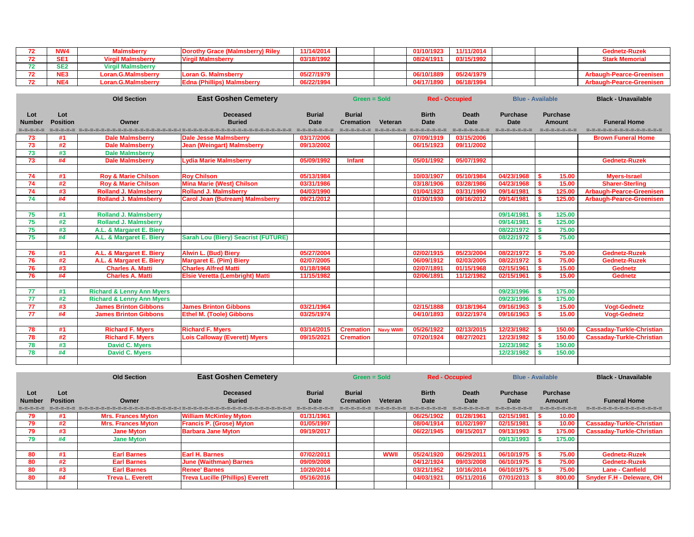| NW4 | Malmsberry               | <b>Dorothy Grace (Malmsberry) Riley</b> | 11/14/2014 |  | 01/10/1923 | 11/11/2014 |  | <b>Gednetz-Ruze</b>             |
|-----|--------------------------|-----------------------------------------|------------|--|------------|------------|--|---------------------------------|
|     | <b>Malmsberry</b>        | <b>Virgil Malmsberry</b>                | 03/18/1992 |  | 08/24/1911 | 03/15/1992 |  | <b>Stark Memorial</b>           |
|     | <b>Virgil Malmsberry</b> |                                         |            |  |            |            |  |                                 |
| NE? | _oran.G.Malmsberry       | <b>Loran G. Malmsberry</b>              | 05/27/1979 |  | 06/10/1889 | 05/24/1979 |  | <b>Arbaugh-Pearce-Greenise</b>  |
| NE. | _oran.G.Malmsberry       | <b>Edna (Phillips) Malmsberry</b>       | 06/22/1994 |  | 04/17/1890 | 06/18/1994 |  | <b>Arbaugh-Pearce-Greeniser</b> |

|                                   |                        | <b>Old Section</b>                   | <b>East Goshen Cemetery</b>                                                                                                            |                                               | <b>Green = Sold</b>               |                  |                             | <b>Red - Occupied</b>                        |                                                 | <b>Blue - Available</b>                           | <b>Black - Unavailable</b>                    |
|-----------------------------------|------------------------|--------------------------------------|----------------------------------------------------------------------------------------------------------------------------------------|-----------------------------------------------|-----------------------------------|------------------|-----------------------------|----------------------------------------------|-------------------------------------------------|---------------------------------------------------|-----------------------------------------------|
| Lot<br><b>Number</b><br>=-=-=-=-= | Lot<br><b>Position</b> | Owner                                | <b>Deceased</b><br><b>Buried</b><br>izkonoko kontokonoko errokoroko konokonoko konoko konokonoko konoko konoko konoko konoko konoko ko | <b>Burial</b><br><b>Date</b><br>=-=-=-=-=-=-= | <b>Burial</b><br><b>Cremation</b> | Veteran          | <b>Birth</b><br><b>Date</b> | <b>Death</b><br><b>Date</b><br>=-=-=-=-=-=-= | <b>Purchase</b><br><b>Date</b><br>=-=-=-=-=-=-= | <b>Purchase</b><br><b>Amount</b><br>=-=-=-=-=-=-= | <b>Funeral Home</b><br>====================== |
| 73                                | #1                     | <b>Dale Malmsberry</b>               | <b>Dale Jesse Malmsberry</b>                                                                                                           | 03/17/2006                                    |                                   |                  | 07/09/1919                  | 03/15/2006                                   |                                                 |                                                   | <b>Brown Funeral Home</b>                     |
| 73                                | #2                     | <b>Dale Malmsberry</b>               | <b>Jean (Weingart) Malmsberry</b>                                                                                                      | 09/13/2002                                    |                                   |                  | 06/15/1923                  | 09/11/2002                                   |                                                 |                                                   |                                               |
| 73                                | #3                     | <b>Dale Malmsberry</b>               |                                                                                                                                        |                                               |                                   |                  |                             |                                              |                                                 |                                                   |                                               |
| 73                                | #4                     | <b>Dale Malmsberry</b>               | <b>Lydia Marie Malmsberry</b>                                                                                                          | 05/09/1992                                    | <b>Infant</b>                     |                  | 05/01/1992                  | 05/07/1992                                   |                                                 |                                                   | <b>Gednetz-Ruzek</b>                          |
|                                   |                        |                                      |                                                                                                                                        |                                               |                                   |                  |                             |                                              |                                                 |                                                   |                                               |
| 74                                | #1                     | <b>Roy &amp; Marie Chilson</b>       | <b>Roy Chilson</b>                                                                                                                     | 05/13/1984                                    |                                   |                  | 10/03/1907                  | 05/10/1984                                   | 04/23/1968                                      | 15.00                                             | <b>Myers-Israel</b>                           |
| 74                                | #2                     | <b>Roy &amp; Marie Chilson</b>       | <b>Mina Marie (West) Chilson</b>                                                                                                       | 03/31/1986                                    |                                   |                  | 03/18/1906                  | 03/28/1986                                   | 04/23/1968                                      | 15.00                                             | <b>Sharer-Sterling</b>                        |
| 74                                | #3                     | <b>Rolland J. Malmsberry</b>         | <b>Rolland J. Malmsberry</b>                                                                                                           | 04/03/1990                                    |                                   |                  | 01/04/1923                  | 03/31/1990                                   | 09/14/1981                                      | 125.00                                            | <b>Arbaugh-Pearce-Greenisen</b>               |
| 74                                | #4                     | <b>Rolland J. Malmsberry</b>         | <b>Carol Jean (Butream) Malmsberry</b>                                                                                                 | 09/21/2012                                    |                                   |                  | 01/30/1930                  | 09/16/2012                                   | 09/14/1981                                      | 125.00                                            | <b>Arbaugh-Pearce-Greenisen</b>               |
|                                   |                        |                                      |                                                                                                                                        |                                               |                                   |                  |                             |                                              |                                                 |                                                   |                                               |
| 75                                | #1                     | <b>Rolland J. Malmsberry</b>         |                                                                                                                                        |                                               |                                   |                  |                             |                                              | 09/14/1981                                      | 125.00                                            |                                               |
| 75                                | #2                     | <b>Rolland J. Malmsberry</b>         |                                                                                                                                        |                                               |                                   |                  |                             |                                              | 09/14/1981                                      | 125.00                                            |                                               |
| 75                                | #3                     | A.L. & Margaret E. Biery             |                                                                                                                                        |                                               |                                   |                  |                             |                                              | 08/22/1972                                      | 75.00                                             |                                               |
| 75                                | #4                     | A.L. & Margaret E. Biery             | <b>Sarah Lou (Biery) Seacrist (FUTURE)</b>                                                                                             |                                               |                                   |                  |                             |                                              | 08/22/1972                                      | 75.00                                             |                                               |
|                                   |                        |                                      |                                                                                                                                        |                                               |                                   |                  |                             |                                              |                                                 |                                                   |                                               |
| 76                                | #1                     | A.L. & Margaret E. Biery             | <b>Alwin L. (Bud) Biery</b>                                                                                                            | 05/27/2004                                    |                                   |                  | 02/02/1915                  | 05/23/2004                                   | 08/22/1972                                      | 75.00                                             | <b>Gednetz-Ruzek</b>                          |
| 76                                | #2                     | A.L. & Margaret E. Biery             | <b>Margaret E. (Pim) Biery</b>                                                                                                         | 02/07/2005                                    |                                   |                  | 06/09/1912                  | 02/03/2005                                   | 08/22/1972                                      | 75.00                                             | <b>Gednetz-Ruzek</b>                          |
| 76                                | #3                     | <b>Charles A. Matti</b>              | <b>Charles Alfred Matti</b>                                                                                                            | 01/18/1968                                    |                                   |                  | 02/07/1891                  | 01/15/1968                                   | 02/15/1961                                      | 15.00                                             | <b>Gednetz</b>                                |
| 76                                | #4                     | <b>Charles A. Matti</b>              | <b>Elsie Veretta (Lembright) Matti</b>                                                                                                 | 11/15/1982                                    |                                   |                  | 02/06/1891                  | 11/12/1982                                   | 02/15/1961                                      | 15.00                                             | <b>Gednetz</b>                                |
|                                   |                        |                                      |                                                                                                                                        |                                               |                                   |                  |                             |                                              |                                                 |                                                   |                                               |
| 77                                | #1                     | <b>Richard &amp; Lenny Ann Myers</b> |                                                                                                                                        |                                               |                                   |                  |                             |                                              | 09/23/1996                                      | 175.00                                            |                                               |
| 77                                | #2                     | <b>Richard &amp; Lenny Ann Myers</b> |                                                                                                                                        |                                               |                                   |                  |                             |                                              | 09/23/1996                                      | 175.00                                            |                                               |
| $\overline{77}$                   | #3                     | <b>James Brinton Gibbons</b>         | <b>James Brinton Gibbons</b>                                                                                                           | 03/21/1964                                    |                                   |                  | 02/15/1888                  | 03/18/1964                                   | 09/16/1963                                      | 15.00                                             | <b>Vogt-Gednetz</b>                           |
| 77                                | #4                     | <b>James Brinton Gibbons</b>         | <b>Ethel M. (Toole) Gibbons</b>                                                                                                        | 03/25/1974                                    |                                   |                  | 04/10/1893                  | 03/22/1974                                   | 09/16/1963                                      | 15.00                                             | <b>Vogt-Gednetz</b>                           |
|                                   |                        |                                      |                                                                                                                                        |                                               |                                   |                  |                             |                                              |                                                 |                                                   |                                               |
| 78                                | #1                     | <b>Richard F. Myers</b>              | <b>Richard F. Myers</b>                                                                                                                | 03/14/2015                                    | <b>Cremation</b>                  | <b>Navy WWII</b> | 05/26/1922                  | 02/13/2015                                   | 12/23/1982                                      | 150.00                                            | <b>Cassaday-Turkle-Christian</b>              |
| $\overline{78}$                   | #2                     | <b>Richard F. Myers</b>              | <b>Lois Calloway (Everett) Myers</b>                                                                                                   | 09/15/2021                                    | <b>Cremation</b>                  |                  | 07/20/1924                  | 08/27/2021                                   | 12/23/1982                                      | 150.00                                            | <b>Cassaday-Turkle-Christian</b>              |
| 78                                | #3                     | <b>David C. Myers</b>                |                                                                                                                                        |                                               |                                   |                  |                             |                                              | 12/23/1982                                      | 150.00                                            |                                               |
| 78                                | #4                     | <b>David C. Myers</b>                |                                                                                                                                        |                                               |                                   |                  |                             |                                              | 12/23/1982                                      | 150.00                                            |                                               |
|                                   |                        |                                      |                                                                                                                                        |                                               |                                   |                  |                             |                                              |                                                 |                                                   |                                               |

|               |                 | <b>Old Section</b>        | <b>East Goshen Cemetery</b>             |               | Green = Sold<br><b>Red - Occupied</b> |                | <b>Blue - Available</b> |              |                 | <b>Black - Unavailable</b> |                                  |
|---------------|-----------------|---------------------------|-----------------------------------------|---------------|---------------------------------------|----------------|-------------------------|--------------|-----------------|----------------------------|----------------------------------|
| Lot           | Lot             |                           | <b>Deceased</b>                         | <b>Burial</b> | <b>Burial</b>                         |                | <b>Birth</b>            | <b>Death</b> | <b>Purchase</b> | <b>Purchase</b>            |                                  |
| <b>Number</b> | <b>Position</b> | Owner                     | <b>Buried</b>                           | <b>Date</b>   | <b>Cremation</b>                      | <b>Veteran</b> | Date                    | Date         | <b>Date</b>     | Amount                     | <b>Funeral Home</b>              |
|               |                 |                           |                                         |               |                                       |                |                         |              |                 | =-=-=-=-=-=-=              | =-=-=-=-=-=-=-=-=-=-=-=-=        |
| 79            | #1              | <b>Mrs. Frances Myton</b> | <b>William McKinley Myton</b>           | 01/31/1961    |                                       |                | 06/25/1902              | 01/28/1961   | 02/15/1981      | 10.00                      |                                  |
| 79            | #2              | <b>Mrs. Frances Myton</b> | <b>Francis P. (Grose) Myton</b>         | 01/05/1997    |                                       |                | 08/04/1914              | 01/02/1997   | 02/15/1981      | 10.00                      | <b>Cassaday-Turkle-Christian</b> |
| 79            | #3              | <b>Jane Myton</b>         | <b>Barbara Jane Myton</b>               | 09/19/2017    |                                       |                | 06/22/1945              | 09/15/2017   | 09/13/1993      | 175.00                     | <b>Cassaday-Turkle-Christian</b> |
| 79            | #4              | <b>Jane Myton</b>         |                                         |               |                                       |                |                         |              | 09/13/1993      | 175.00                     |                                  |
|               |                 |                           |                                         |               |                                       |                |                         |              |                 |                            |                                  |
| 80            | #1              | <b>Earl Barnes</b>        | Earl H. Barnes                          | 07/02/2011    |                                       | <b>WWII</b>    | 05/24/1920              | 06/29/2011   | 06/10/1975      | 75.00                      | <b>Gednetz-Ruzek</b>             |
| 80            | #2              | <b>Earl Barnes</b>        | <b>June (Waithman) Barnes</b>           | 09/09/2008    |                                       |                | 04/12/1924              | 09/03/2008   | 06/10/1975      | 75.00                      | <b>Gednetz-Ruzek</b>             |
| 80            | #3              | <b>Earl Barnes</b>        | <b>Renee' Barnes</b>                    | 10/20/2014    |                                       |                | 03/21/1952              | 10/16/2014   | 06/10/1975      | 75.00                      | <b>Lane - Canfield</b>           |
| 80            | #4              | <b>Treva L. Everett</b>   | <b>Treva Lucille (Phillips) Everett</b> | 05/16/2016    |                                       |                | 04/03/1921              | 05/11/2016   | 07/01/2013      | 800.00                     | <b>Snyder F.H - Deleware, OH</b> |
|               |                 |                           |                                         |               |                                       |                |                         |              |                 |                            |                                  |